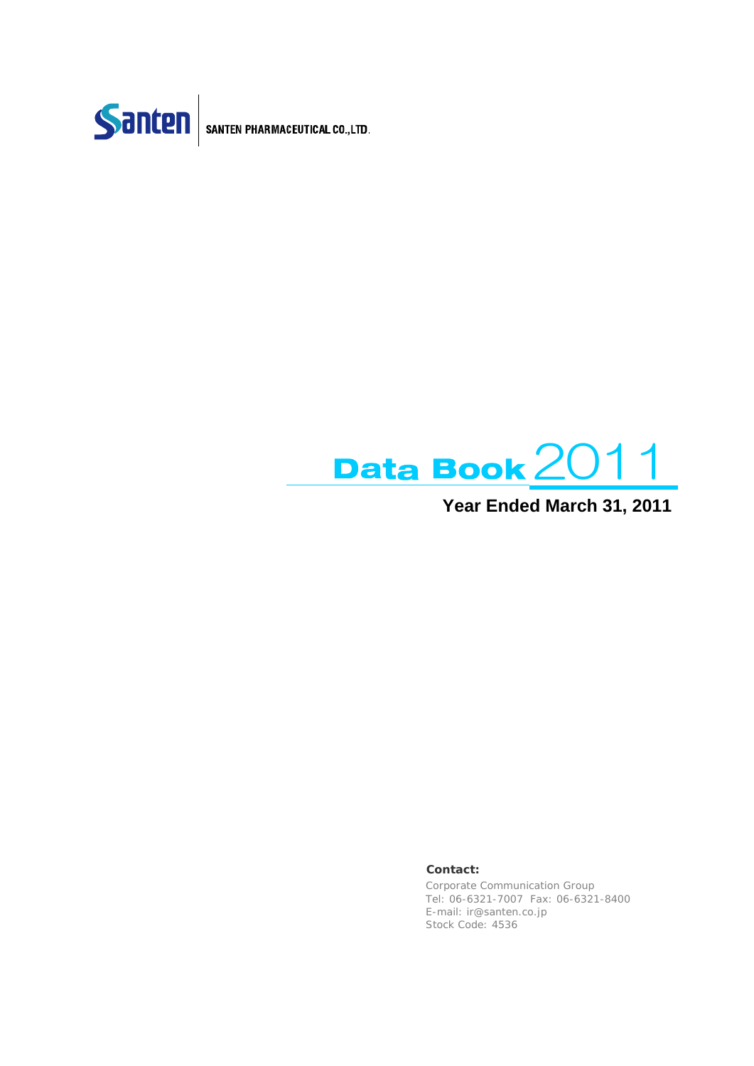



**Year Ended March 31, 2011**

### **Contact:**

Corporate Communication Group Tel: 06-6321-7007 Fax: 06-6321-8400 E-mail: ir@santen.co.jp Stock Code: 4536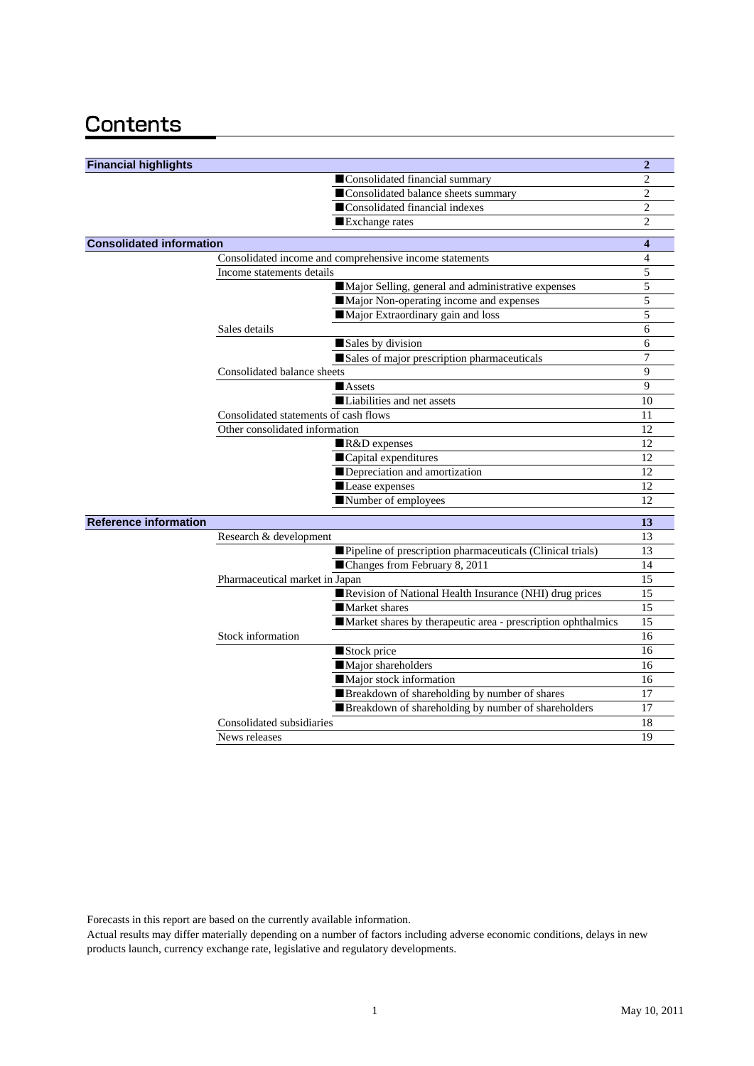# Contents

| <b>Financial highlights</b>                                  | $\overline{2}$ |
|--------------------------------------------------------------|----------------|
| Consolidated financial summary                               | $\overline{c}$ |
| Consolidated balance sheets summary                          | 2              |
| Consolidated financial indexes                               | $\overline{2}$ |
| Exchange rates                                               | $\overline{c}$ |
| <b>Consolidated information</b>                              | 4              |
| Consolidated income and comprehensive income statements      | 4              |
| Income statements details                                    | 5              |
| Major Selling, general and administrative expenses           | 5              |
| Major Non-operating income and expenses                      | 5              |
| Major Extraordinary gain and loss                            | 5              |
| Sales details                                                | 6              |
| Sales by division                                            | 6              |
| Sales of major prescription pharmaceuticals                  | 7              |
| Consolidated balance sheets                                  | 9              |
| <b>Assets</b>                                                | 9              |
| Liabilities and net assets                                   | 10             |
| Consolidated statements of cash flows                        | 11             |
| Other consolidated information                               | 12             |
| R&D expenses                                                 | 12             |
| Capital expenditures                                         | 12             |
| Depreciation and amortization                                | 12             |
| Lease expenses                                               | 12             |
| Number of employees                                          | 12             |
| <b>Reference information</b>                                 | 13             |
| Research & development                                       | 13             |
| Pipeline of prescription pharmaceuticals (Clinical trials)   | 13             |
| ■Changes from February 8, 2011                               | 14             |
| Pharmaceutical market in Japan                               | 15             |
| Revision of National Health Insurance (NHI) drug prices      | 15             |
| Market shares                                                | 15             |
| Market shares by therapeutic area - prescription ophthalmics | 15             |
| Stock information                                            | 16             |
| Stock price                                                  | 16             |
| Major shareholders                                           | 16             |
| Major stock information                                      | 16             |
| Breakdown of shareholding by number of shares                | 17             |
| Breakdown of shareholding by number of shareholders          | 17             |
| Consolidated subsidiaries                                    | 18             |
| News releases                                                | 19             |

Forecasts in this report are based on the currently available information.

Actual results may differ materially depending on a number of factors including adverse economic conditions, delays in new products launch, currency exchange rate, legislative and regulatory developments.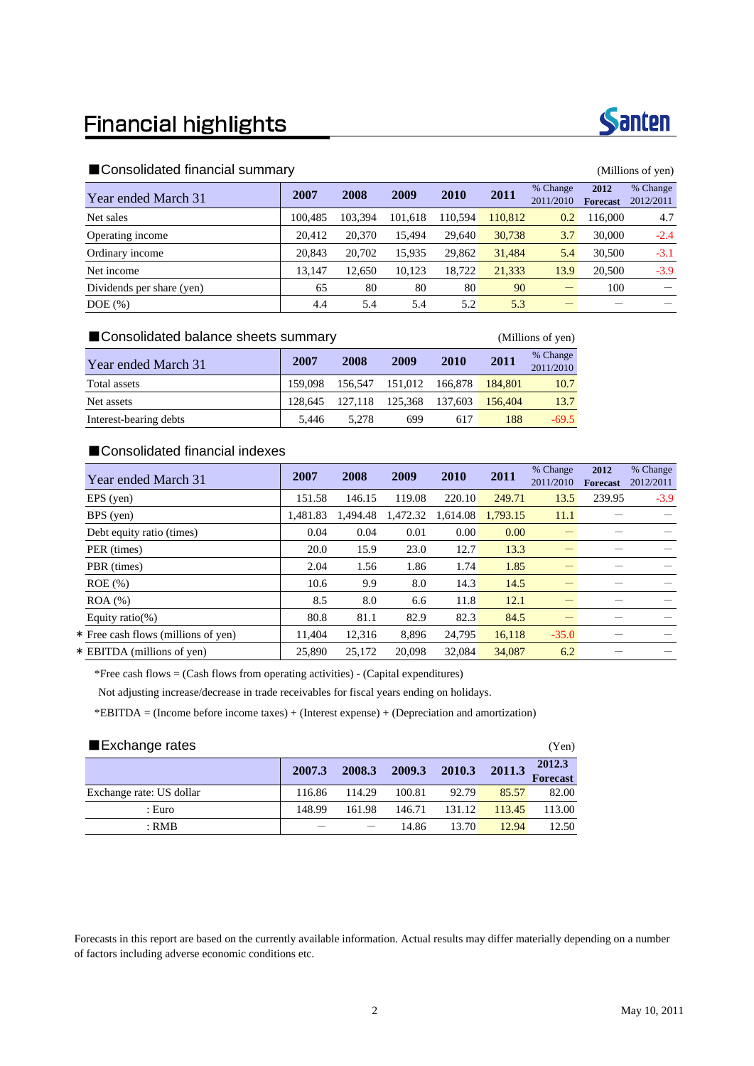# **Financial highlights**



|                           |         | $\cdots$ |         |         |         |                       |                         |                       |
|---------------------------|---------|----------|---------|---------|---------|-----------------------|-------------------------|-----------------------|
| Year ended March 31       | 2007    | 2008     | 2009    | 2010    | 2011    | % Change<br>2011/2010 | 2012<br><b>Forecast</b> | % Change<br>2012/2011 |
| Net sales                 | 100.485 | 103,394  | 101.618 | 110.594 | 110,812 | 0.2                   | 116,000                 | 4.7                   |
| Operating income          | 20.412  | 20.370   | 15.494  | 29,640  | 30,738  | 3.7                   | 30,000                  | $-2.4$                |
| Ordinary income           | 20,843  | 20,702   | 15.935  | 29.862  | 31,484  | 5.4                   | 30,500                  | $-3.1$                |
| Net income                | 13.147  | 12.650   | 10.123  | 18.722  | 21,333  | 13.9                  | 20,500                  | $-3.9$                |
| Dividends per share (yen) | 65      | 80       | 80      | 80      | 90      |                       | 100                     |                       |
| $DOE$ $(\% )$             | 4.4     | 5.4      | 5.4     | 5.2     | 5.3     |                       |                         |                       |

### ■Consolidated balance sheets summary (Millions of yen)

Year ended March 31 **2007** 2008 2009 2010 2011 <sup>% Change</sup> 2011/2010 Total assets 159,098 156,547 151,012 166,878 184,801 10.7 Net assets 128,645 127,118 125,368 137,603 156,404 13.7 Interest-bearing debts 5,446 5,278 699 617 188 -69.5

# ■Consolidated financial indexes

| Year ended March 31                 | 2007     | 2008     | 2009     | 2010     | 2011     | % Change<br>2011/2010 | 2012<br><b>Forecast</b> | % Change<br>2012/2011 |
|-------------------------------------|----------|----------|----------|----------|----------|-----------------------|-------------------------|-----------------------|
| EPS (yen)                           | 151.58   | 146.15   | 119.08   | 220.10   | 249.71   | 13.5                  | 239.95                  | $-3.9$                |
| BPS (yen)                           | 1.481.83 | 1.494.48 | 1,472.32 | 1,614.08 | 1.793.15 | 11.1                  |                         |                       |
| Debt equity ratio (times)           | 0.04     | 0.04     | 0.01     | 0.00     | 0.00     |                       |                         |                       |
| PER (times)                         | 20.0     | 15.9     | 23.0     | 12.7     | 13.3     |                       |                         |                       |
| PBR (times)                         | 2.04     | 1.56     | 1.86     | 1.74     | 1.85     |                       |                         |                       |
| $ROE$ (%)                           | 10.6     | 9.9      | 8.0      | 14.3     | 14.5     |                       |                         |                       |
| $ROA$ $%$                           | 8.5      | 8.0      | 6.6      | 11.8     | 12.1     |                       |                         |                       |
| Equity ratio(%)                     | 80.8     | 81.1     | 82.9     | 82.3     | 84.5     |                       |                         |                       |
| * Free cash flows (millions of yen) | 11.404   | 12.316   | 8.896    | 24,795   | 16,118   | $-35.0$               |                         |                       |
| * EBITDA (millions of ven)          | 25,890   | 25,172   | 20.098   | 32.084   | 34,087   | 6.2                   |                         |                       |

\*Free cash flows  $=$  (Cash flows from operating activities) - (Capital expenditures)

Not adjusting increase/decrease in trade receivables for fiscal years ending on holidays.

\*EBITDA = (Income before income taxes) + (Interest expense) + (Depreciation and amortization)

| Exchange rates           |        |        |        |        |        |                           |  |  |
|--------------------------|--------|--------|--------|--------|--------|---------------------------|--|--|
|                          | 2007.3 | 2008.3 | 2009.3 | 2010.3 | 2011.3 | 2012.3<br><b>Forecast</b> |  |  |
| Exchange rate: US dollar | 116.86 | 114.29 | 100.81 | 92.79  | 85.57  | 82.00                     |  |  |
| : Euro                   | 148.99 | 161.98 | 146.71 | 131.12 | 113.45 | 113.00                    |  |  |
| $:$ RMB                  |        |        | 14.86  | 13.70  | 12.94  | 12.50                     |  |  |

Forecasts in this report are based on the currently available information. Actual results may differ materially depending on a number of factors including adverse economic conditions etc.

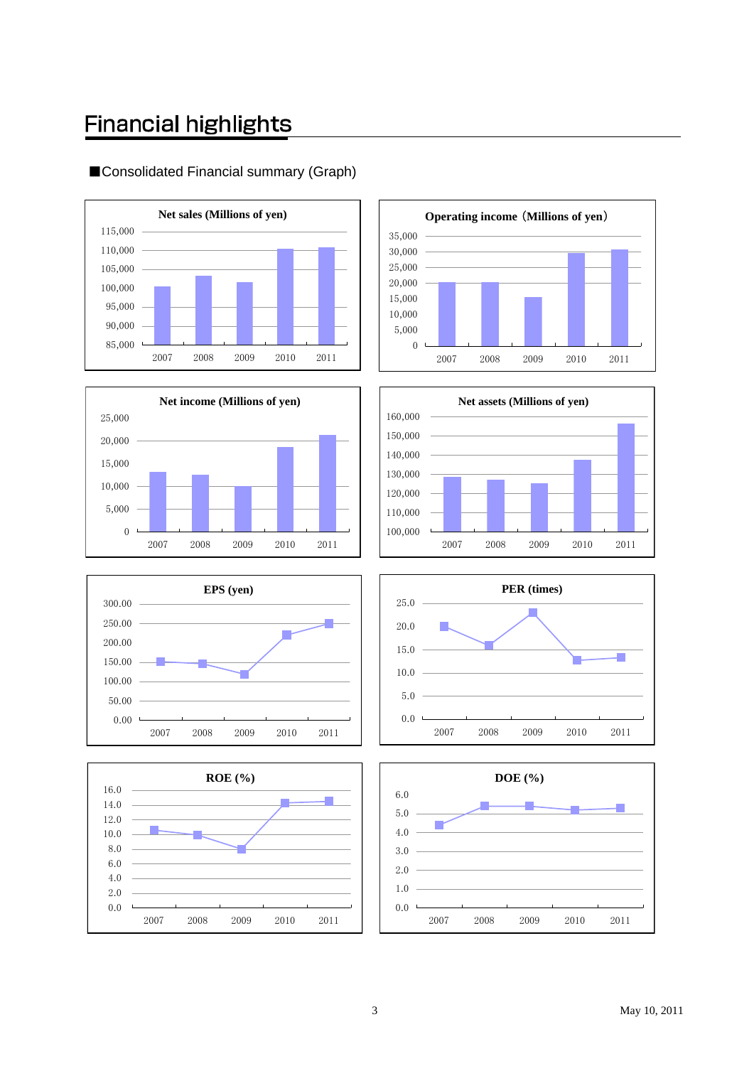# **Financial highlights**



# ■Consolidated Financial summary (Graph)













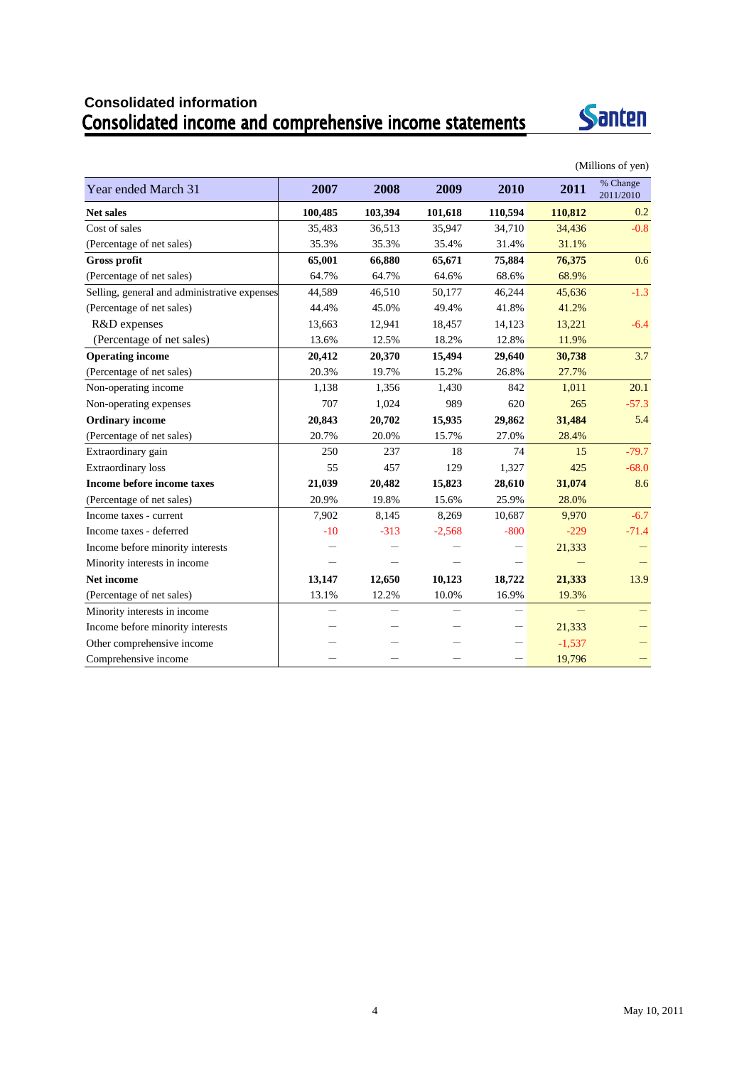# **Consolidated information**



|                                              |         |                          |                          |                          |          | (Millions of yen)     |
|----------------------------------------------|---------|--------------------------|--------------------------|--------------------------|----------|-----------------------|
| Year ended March 31                          | 2007    | 2008                     | 2009                     | 2010                     | 2011     | % Change<br>2011/2010 |
| <b>Net sales</b>                             | 100,485 | 103,394                  | 101,618                  | 110,594                  | 110,812  | 0.2                   |
| Cost of sales                                | 35,483  | 36,513                   | 35,947                   | 34,710                   | 34,436   | $-0.8$                |
| (Percentage of net sales)                    | 35.3%   | 35.3%                    | 35.4%                    | 31.4%                    | 31.1%    |                       |
| <b>Gross profit</b>                          | 65,001  | 66,880                   | 65,671                   | 75,884                   | 76,375   | 0.6                   |
| (Percentage of net sales)                    | 64.7%   | 64.7%                    | 64.6%                    | 68.6%                    | 68.9%    |                       |
| Selling, general and administrative expenses | 44,589  | 46,510                   | 50,177                   | 46,244                   | 45,636   | $-1.3$                |
| (Percentage of net sales)                    | 44.4%   | 45.0%                    | 49.4%                    | 41.8%                    | 41.2%    |                       |
| R&D expenses                                 | 13,663  | 12,941                   | 18,457                   | 14,123                   | 13,221   | $-6.4$                |
| (Percentage of net sales)                    | 13.6%   | 12.5%                    | 18.2%                    | 12.8%                    | 11.9%    |                       |
| <b>Operating income</b>                      | 20,412  | 20,370                   | 15,494                   | 29,640                   | 30,738   | 3.7                   |
| (Percentage of net sales)                    | 20.3%   | 19.7%                    | 15.2%                    | 26.8%                    | 27.7%    |                       |
| Non-operating income                         | 1,138   | 1,356                    | 1,430                    | 842                      | 1,011    | 20.1                  |
| Non-operating expenses                       | 707     | 1,024                    | 989                      | 620                      | 265      | $-57.3$               |
| <b>Ordinary income</b>                       | 20,843  | 20,702                   | 15,935                   | 29,862                   | 31,484   | 5.4                   |
| (Percentage of net sales)                    | 20.7%   | 20.0%                    | 15.7%                    | 27.0%                    | 28.4%    |                       |
| Extraordinary gain                           | 250     | 237                      | 18                       | 74                       | 15       | $-79.7$               |
| <b>Extraordinary</b> loss                    | 55      | 457                      | 129                      | 1,327                    | 425      | $-68.0$               |
| <b>Income before income taxes</b>            | 21,039  | 20,482                   | 15,823                   | 28,610                   | 31,074   | 8.6                   |
| (Percentage of net sales)                    | 20.9%   | 19.8%                    | 15.6%                    | 25.9%                    | 28.0%    |                       |
| Income taxes - current                       | 7,902   | 8,145                    | 8,269                    | 10,687                   | 9,970    | $-6.7$                |
| Income taxes - deferred                      | $-10$   | $-313$                   | $-2,568$                 | $-800$                   | $-229$   | $-71.4$               |
| Income before minority interests             |         |                          |                          |                          | 21,333   |                       |
| Minority interests in income                 |         |                          |                          |                          |          |                       |
| <b>Net income</b>                            | 13,147  | 12,650                   | 10,123                   | 18,722                   | 21,333   | 13.9                  |
| (Percentage of net sales)                    | 13.1%   | 12.2%                    | 10.0%                    | 16.9%                    | 19.3%    |                       |
| Minority interests in income                 |         | $\overline{\phantom{0}}$ | $\overline{\phantom{0}}$ | $\overline{\phantom{0}}$ |          |                       |
| Income before minority interests             |         |                          |                          | —                        | 21,333   |                       |
| Other comprehensive income                   |         |                          |                          |                          | $-1,537$ |                       |
| Comprehensive income                         |         |                          |                          |                          | 19,796   |                       |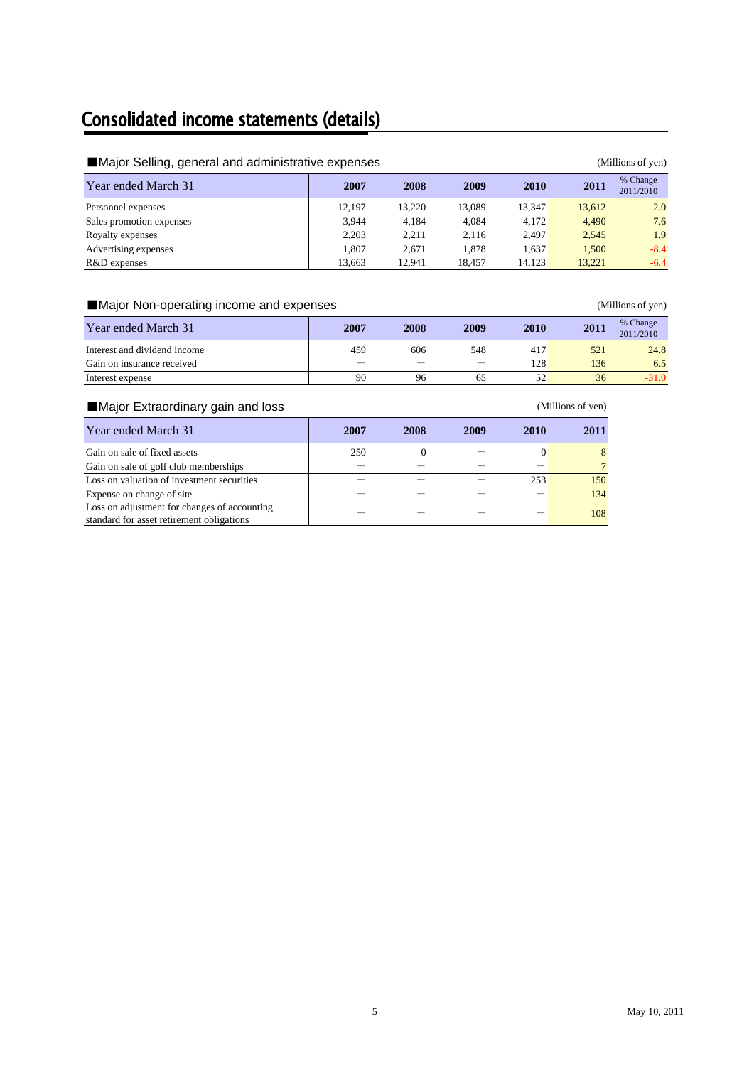# **Consolidated income statements (details)**

| Major Selling, general and administrative expenses<br>(Millions of yen) |        |        |        |             |        |                       |  |  |  |
|-------------------------------------------------------------------------|--------|--------|--------|-------------|--------|-----------------------|--|--|--|
| Year ended March 31                                                     | 2007   | 2008   | 2009   | <b>2010</b> | 2011   | % Change<br>2011/2010 |  |  |  |
| Personnel expenses                                                      | 12.197 | 13.220 | 13.089 | 13.347      | 13.612 | 2.0                   |  |  |  |
| Sales promotion expenses                                                | 3.944  | 4.184  | 4.084  | 4.172       | 4.490  | 7.6                   |  |  |  |
| Royalty expenses                                                        | 2.203  | 2.211  | 2,116  | 2.497       | 2.545  | 1.9                   |  |  |  |
| Advertising expenses                                                    | 1.807  | 2.671  | 1.878  | 1,637       | 1,500  | $-8.4$                |  |  |  |
| R&D expenses                                                            | 13,663 | 12.941 | 18.457 | 14.123      | 13.221 | $-6.4$                |  |  |  |

# ■Major Non-operating income and expenses (Millions of yen)

| Year ended March 31          | 2007 | 2008 | 2009                     | 2010 | 2011 | % Change<br>2011/2010 |
|------------------------------|------|------|--------------------------|------|------|-----------------------|
| Interest and dividend income | 459  | 606  | 548                      | 417  | 521  | 24.8                  |
| Gain on insurance received   |      |      | $\overline{\phantom{m}}$ | 128  | 136  | 6.5                   |
| Interest expense             | 90   | 96   | 62                       | 52   | 36   | $-31.0$               |

# ■Major Extraordinary gain and loss (Millions of yen)

| Year ended March 31                          | 2007 | 2008     | 2009 | 2010 | 2011 |
|----------------------------------------------|------|----------|------|------|------|
| Gain on sale of fixed assets                 | 250  | $\theta$ |      |      | 8    |
| Gain on sale of golf club memberships        |      |          |      |      |      |
| Loss on valuation of investment securities   |      |          |      | 253  | 150  |
| Expense on change of site                    |      |          |      |      | 134  |
| Loss on adjustment for changes of accounting |      |          |      |      | 108  |
| standard for asset retirement obligations    |      |          |      |      |      |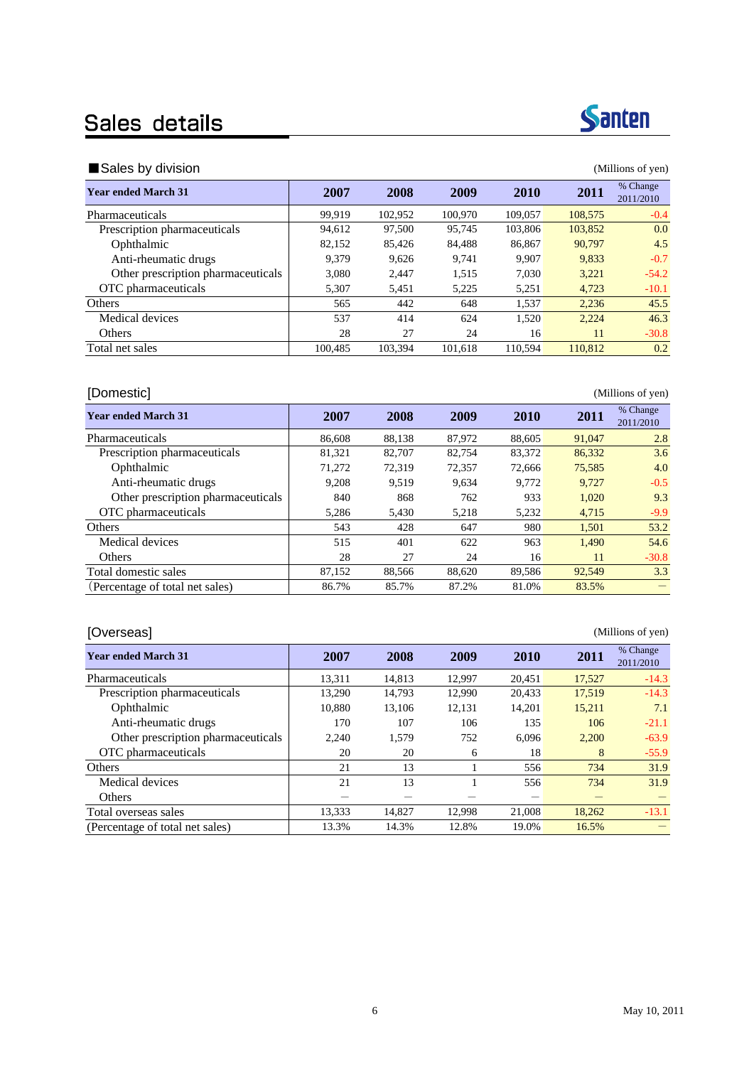# Sales details

## ■Sales by division (Millions of yen)

| <b>Year ended March 31</b>         | 2007    | 2008    | 2009    | 2010    | 2011    | % Change<br>2011/2010 |
|------------------------------------|---------|---------|---------|---------|---------|-----------------------|
| <b>Pharmaceuticals</b>             | 99.919  | 102.952 | 100.970 | 109,057 | 108,575 | $-0.4$                |
| Prescription pharmaceuticals       | 94,612  | 97,500  | 95.745  | 103,806 | 103,852 | 0.0                   |
| Ophthalmic                         | 82,152  | 85.426  | 84,488  | 86,867  | 90.797  | 4.5                   |
| Anti-rheumatic drugs               | 9.379   | 9,626   | 9.741   | 9.907   | 9,833   | $-0.7$                |
| Other prescription pharmaceuticals | 3,080   | 2.447   | 1,515   | 7,030   | 3,221   | $-54.2$               |
| OTC pharmaceuticals                | 5,307   | 5,451   | 5,225   | 5,251   | 4,723   | $-10.1$               |
| Others                             | 565     | 442     | 648     | 1.537   | 2.236   | 45.5                  |
| Medical devices                    | 537     | 414     | 624     | 1,520   | 2,224   | 46.3                  |
| Others                             | 28      | 27      | 24      | 16      | 11      | $-30.8$               |
| Total net sales                    | 100.485 | 103.394 | 101.618 | 110.594 | 110,812 | 0.2                   |
|                                    |         |         |         |         |         |                       |

### [Domestic] (Millions of yen)

**Year ended March 31 2007 2008 2009 2010 2011** <sup>% Change</sup> 2011/2010 Pharmaceuticals 86,608 88,138 87,972 88,605 91,047 2.8 Prescription pharmaceuticals 81,321 82,707 82,754 83,372 86,332 3.6 Ophthalmic 21,272 72,319 72,357 72,666 75,585 4.0 Anti-rheumatic drugs 19,208 9,519 9,634 9,772 9,727 -0.5 Other prescription pharmaceuticals 840 868 762 933 1,020 9.3 OTC pharmaceuticals 6,286 5,430 5,218 5,232 4,715 5,99 Others 543 428 647 980 1,501 53.2 Medical devices 515 401 622 963 1,490 54.6 Others 28 27 24 16 11 -30.8 Total domestic sales 87,152 88,566 88,620 89,586 92,549 3.3 (Percentage of total net sales) 86.7% 85.7% 87.2% 81.0% 83.5% -

### [Overseas] (Millions of yen)

| <b>Year ended March 31</b>         | 2007   | 2008   | 2009   | 2010   | 2011   | % Change<br>2011/2010 |
|------------------------------------|--------|--------|--------|--------|--------|-----------------------|
| Pharmaceuticals                    | 13,311 | 14,813 | 12,997 | 20,451 | 17,527 | $-14.3$               |
| Prescription pharmaceuticals       | 13,290 | 14.793 | 12,990 | 20,433 | 17,519 | $-14.3$               |
| Ophthalmic                         | 10,880 | 13,106 | 12,131 | 14,201 | 15,211 | 7.1                   |
| Anti-rheumatic drugs               | 170    | 107    | 106    | 135    | 106    | $-21.1$               |
| Other prescription pharmaceuticals | 2,240  | 1,579  | 752    | 6,096  | 2,200  | $-63.9$               |
| OTC pharmaceuticals                | 20     | 20     | 6      | 18     | 8      | $-55.9$               |
| Others                             | 21     | 13     |        | 556    | 734    | 31.9                  |
| Medical devices                    | 21     | 13     |        | 556    | 734    | 31.9                  |
| Others                             |        |        |        |        |        |                       |
| Total overseas sales               | 13.333 | 14.827 | 12.998 | 21,008 | 18.262 | $-13.1$               |
| (Percentage of total net sales)    | 13.3%  | 14.3%  | 12.8%  | 19.0%  | 16.5%  |                       |

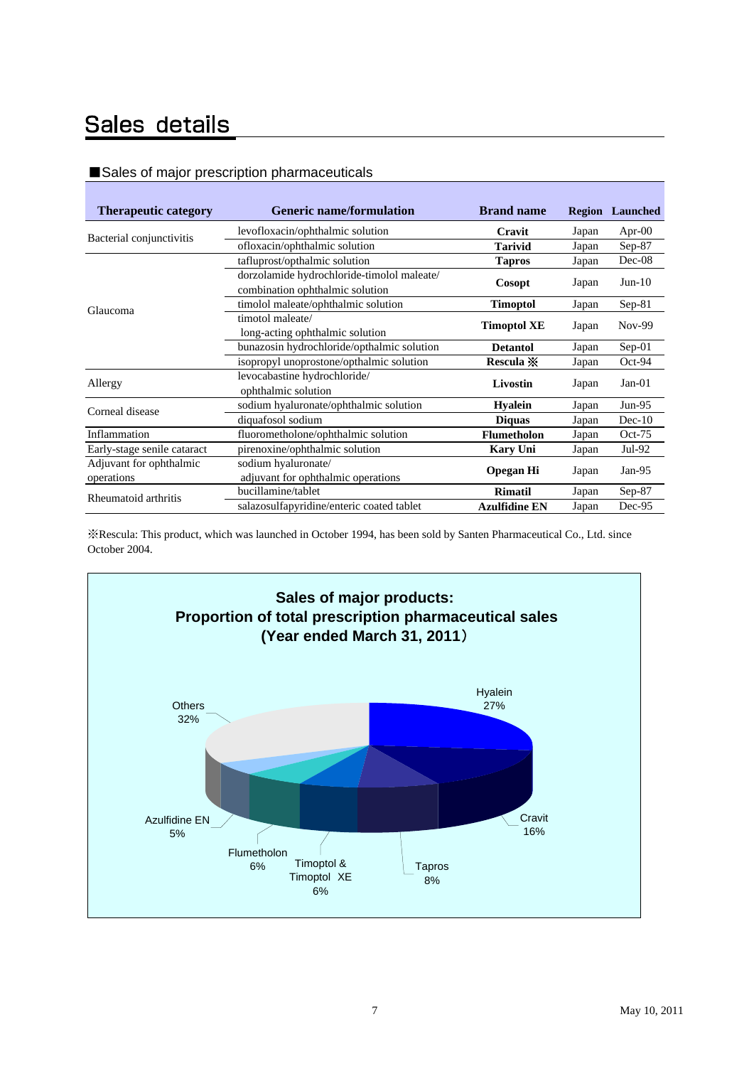# Sales details

# ■Sales of major prescription pharmaceuticals

| <b>Therapeutic category</b> | <b>Generic name/formulation</b>            | <b>Brand name</b>    |       | <b>Region</b> Launched |
|-----------------------------|--------------------------------------------|----------------------|-------|------------------------|
| Bacterial conjunctivitis    | levofloxacin/ophthalmic solution           | Cravit               | Japan | Apr- $00$              |
|                             | ofloxacin/ophthalmic solution              | <b>Tarivid</b>       | Japan | $Sep-87$               |
|                             | tafluprost/opthalmic solution              | <b>Tapros</b>        | Japan | Dec-08                 |
|                             | dorzolamide hydrochloride-timolol maleate/ |                      |       |                        |
|                             | combination ophthalmic solution            | Cosopt               | Japan | $Jun-10$               |
| Glaucoma                    | timolol maleate/ophthalmic solution        | <b>Timoptol</b>      | Japan | $Sep-81$               |
|                             | timotol maleate/                           |                      |       | $Nov-99$               |
|                             | long-acting ophthalmic solution            | <b>Timoptol XE</b>   | Japan |                        |
|                             | bunazosin hydrochloride/opthalmic solution | <b>Detantol</b>      | Japan | $Sep-01$               |
|                             | isopropyl unoprostone/opthalmic solution   | Rescula X            | Japan | Oct-94                 |
| Allergy                     | levocabastine hydrochloride/               | Livostin             |       | $Jan-01$               |
|                             | ophthalmic solution                        |                      | Japan |                        |
| Corneal disease             | sodium hyaluronate/ophthalmic solution     | <b>Hyalein</b>       | Japan | $Jun-95$               |
|                             | diquafosol sodium                          | <b>Diquas</b>        | Japan | $Dec-10$               |
| Inflammation                | fluorometholone/ophthalmic solution        | <b>Flumetholon</b>   | Japan | $Oct-75$               |
| Early-stage senile cataract | pirenoxine/ophthalmic solution             | <b>Kary Uni</b>      | Japan | Jul-92                 |
| Adjuvant for ophthalmic     | sodium hyaluronate/                        |                      |       | Jan- $95$              |
| operations                  | adjuvant for ophthalmic operations         | <b>Opegan Hi</b>     | Japan |                        |
| Rheumatoid arthritis        | bucillamine/tablet                         | <b>Rimatil</b>       | Japan | Sep-87                 |
|                             | salazosulfapyridine/enteric coated tablet  | <b>Azulfidine EN</b> | Japan | Dec-95                 |

※Rescula: This product, which was launched in October 1994, has been sold by Santen Pharmaceutical Co., Ltd. since October 2004.

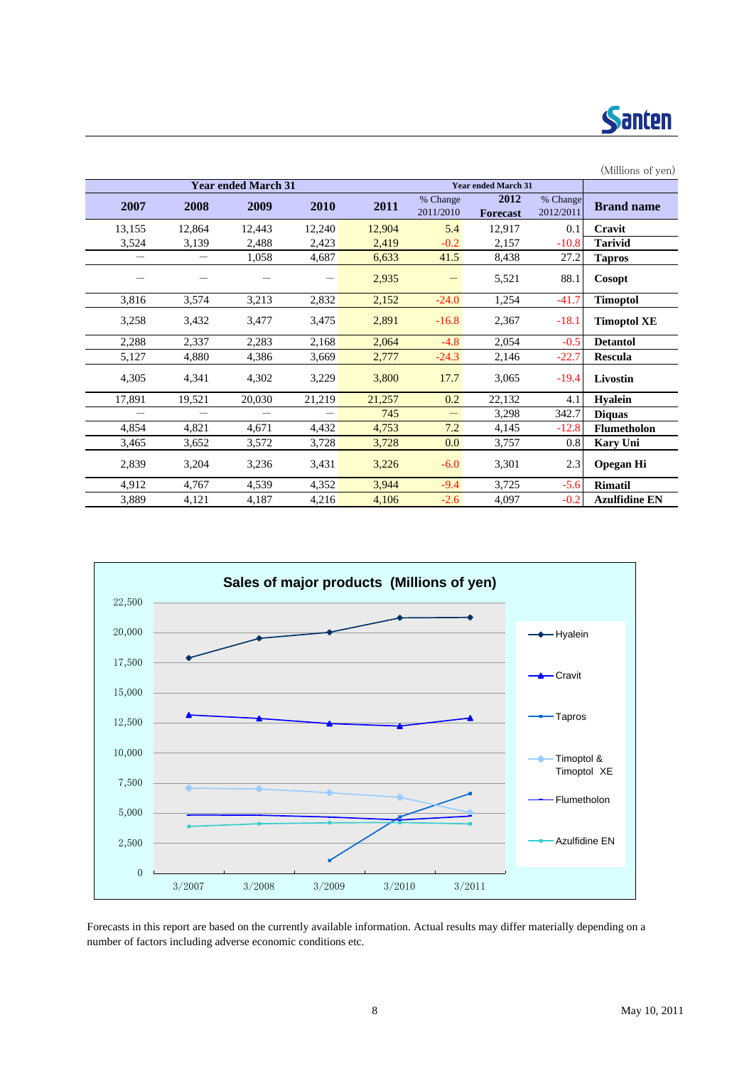

|          |        |                            |        |        |                          |                            |                       | (Millions of yen)    |
|----------|--------|----------------------------|--------|--------|--------------------------|----------------------------|-----------------------|----------------------|
|          |        | <b>Year ended March 31</b> |        |        |                          | <b>Year ended March 31</b> |                       |                      |
| 2007     | 2008   | 2009                       | 2010   | 2011   | % Change<br>2011/2010    | 2012<br><b>Forecast</b>    | % Change<br>2012/2011 | <b>Brand name</b>    |
| 13,155   | 12,864 | 12,443                     | 12,240 | 12,904 | 5.4                      | 12,917                     | 0.1                   | Cravit               |
| 3,524    | 3,139  | 2,488                      | 2,423  | 2,419  | $-0.2$                   | 2,157                      | $-10.8$               | <b>Tarivid</b>       |
| $\equiv$ |        | 1,058                      | 4,687  | 6,633  | 41.5                     | 8,438                      | 27.2                  | <b>Tapros</b>        |
|          |        |                            |        | 2,935  |                          | 5,521                      | 88.1                  | Cosopt               |
| 3,816    | 3,574  | 3,213                      | 2,832  | 2,152  | $-24.0$                  | 1,254                      | $-41.7$               | <b>Timoptol</b>      |
| 3,258    | 3,432  | 3,477                      | 3,475  | 2,891  | $-16.8$                  | 2,367                      | $-18.1$               | <b>Timoptol XE</b>   |
| 2,288    | 2,337  | 2,283                      | 2,168  | 2,064  | $-4.8$                   | 2,054                      | $-0.5$                | <b>Detantol</b>      |
| 5,127    | 4,880  | 4,386                      | 3,669  | 2,777  | $-24.3$                  | 2,146                      | $-22.7$               | Rescula              |
| 4,305    | 4,341  | 4,302                      | 3,229  | 3,800  | 17.7                     | 3,065                      | $-19.4$               | Livostin             |
| 17,891   | 19,521 | 20,030                     | 21,219 | 21,257 | 0.2                      | 22,132                     | 4.1                   | <b>Hyalein</b>       |
|          |        |                            |        | 745    | $\overline{\phantom{m}}$ | 3,298                      | 342.7                 | <b>Diquas</b>        |
| 4,854    | 4,821  | 4,671                      | 4,432  | 4,753  | 7.2                      | 4,145                      | $-12.8$               | <b>Flumetholon</b>   |
| 3,465    | 3,652  | 3,572                      | 3,728  | 3,728  | 0.0                      | 3,757                      | 0.8                   | <b>Kary Uni</b>      |
| 2,839    | 3,204  | 3,236                      | 3,431  | 3,226  | $-6.0$                   | 3,301                      | 2.3                   | <b>Opegan Hi</b>     |
| 4,912    | 4,767  | 4,539                      | 4,352  | 3,944  | $-9.4$                   | 3,725                      | $-5.6$                | <b>Rimatil</b>       |
| 3,889    | 4,121  | 4,187                      | 4,216  | 4,106  | $-2.6$                   | 4,097                      | $-0.2$                | <b>Azulfidine EN</b> |



Forecasts in this report are based on the currently available information. Actual results may differ materially depending on a number of factors including adverse economic conditions etc.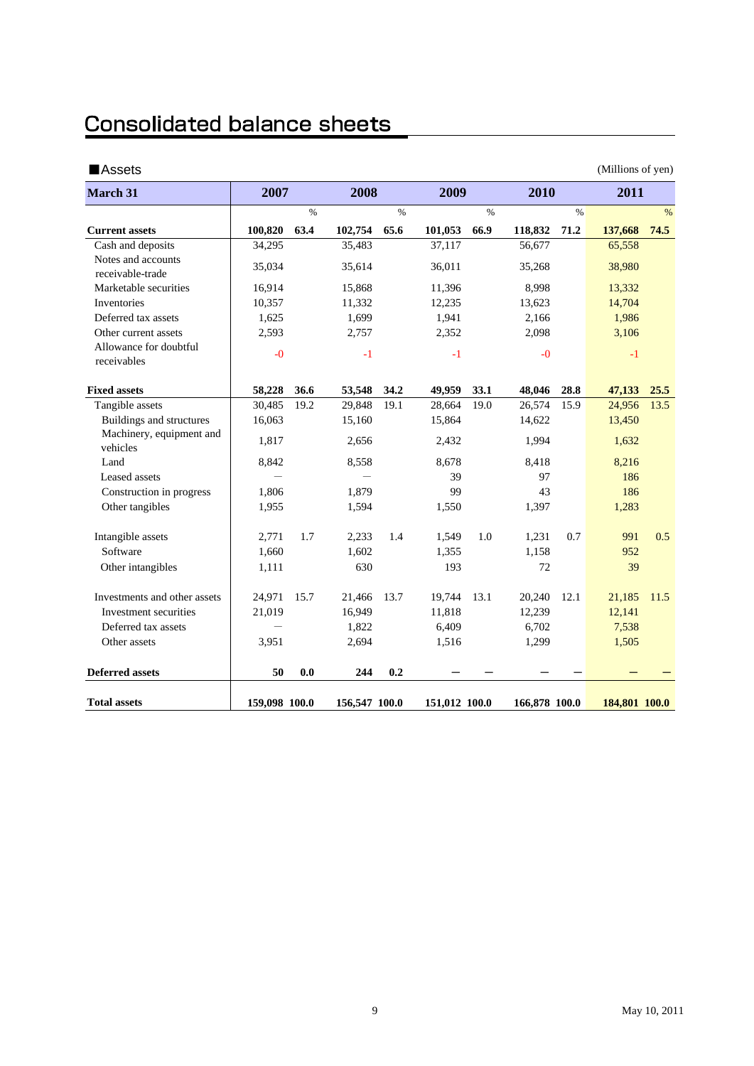# **Consolidated balance sheets**

| ■Assets                                |               |               |               |               |                                |               |         |               | (Millions of yen) |               |
|----------------------------------------|---------------|---------------|---------------|---------------|--------------------------------|---------------|---------|---------------|-------------------|---------------|
| <b>March 31</b>                        | 2007          |               | 2008          |               | 2009                           |               | 2010    |               | 2011              |               |
|                                        |               | $\frac{0}{0}$ |               | $\frac{9}{6}$ |                                | $\frac{0}{0}$ |         | $\frac{0}{0}$ |                   | $\frac{0}{0}$ |
| <b>Current assets</b>                  | 100,820       | 63.4          | 102,754       | 65.6          | 101,053                        | 66.9          | 118,832 | 71.2          | 137,668           | 74.5          |
| Cash and deposits                      | 34,295        |               | 35,483        |               | 37,117                         |               | 56,677  |               | 65,558            |               |
| Notes and accounts<br>receivable-trade | 35,034        |               | 35,614        |               | 36,011                         |               | 35,268  |               | 38,980            |               |
| Marketable securities                  | 16,914        |               | 15,868        |               | 11,396                         |               | 8,998   |               | 13,332            |               |
| Inventories                            | 10,357        |               | 11,332        |               | 12,235                         |               | 13,623  |               | 14,704            |               |
| Deferred tax assets                    | 1,625         |               | 1,699         |               | 1,941                          |               | 2,166   |               | 1,986             |               |
| Other current assets                   | 2,593         |               | 2,757         |               | 2,352                          |               | 2,098   |               | 3,106             |               |
| Allowance for doubtful<br>receivables  | $-0$          |               | -1            |               | $-1$                           |               | $-0$    |               | $-1$              |               |
| <b>Fixed assets</b>                    | 58,228        | 36.6          | 53,548        | 34.2          | 49,959                         | 33.1          | 48,046  | 28.8          | 47,133            | 25.5          |
| Tangible assets                        | 30,485        | 19.2          | 29,848        | 19.1          | 28,664                         | 19.0          | 26,574  | 15.9          | 24,956            | 13.5          |
| Buildings and structures               | 16,063        |               | 15,160        |               | 15,864                         |               | 14,622  |               | 13,450            |               |
| Machinery, equipment and<br>vehicles   | 1,817         |               | 2,656         |               | 2,432                          |               | 1,994   |               | 1,632             |               |
| Land                                   | 8,842         |               | 8,558         |               | 8,678                          |               | 8,418   |               | 8,216             |               |
| Leased assets                          |               |               |               |               | 39                             |               | 97      |               | 186               |               |
| Construction in progress               | 1,806         |               | 1,879         |               | 99                             |               | 43      |               | 186               |               |
| Other tangibles                        | 1,955         |               | 1,594         |               | 1,550                          |               | 1,397   |               | 1,283             |               |
| Intangible assets                      | 2,771         | 1.7           | 2,233         | 1.4           | 1,549                          | 1.0           | 1,231   | 0.7           | 991               | 0.5           |
| Software                               | 1,660         |               | 1,602         |               | 1,355                          |               | 1,158   |               | 952               |               |
| Other intangibles                      | 1,111         |               | 630           |               | 193                            |               | 72      |               | 39                |               |
| Investments and other assets           | 24,971        | 15.7          | 21,466        | 13.7          | 19,744                         | 13.1          | 20,240  | 12.1          | 21,185            | 11.5          |
| Investment securities                  | 21,019        |               | 16,949        |               | 11,818                         |               | 12,239  |               | 12,141            |               |
| Deferred tax assets                    |               |               | 1,822         |               | 6,409                          |               | 6,702   |               | 7,538             |               |
| Other assets                           | 3,951         |               | 2,694         |               | 1,516                          |               | 1,299   |               | 1,505             |               |
| <b>Deferred assets</b>                 | 50            | 0.0           | 244           | 0.2           |                                |               |         |               |                   |               |
| <b>Total assets</b>                    | 159,098 100.0 |               | 156,547 100.0 |               | 166,878 100.0<br>151,012 100.0 |               |         | 184,801 100.0 |                   |               |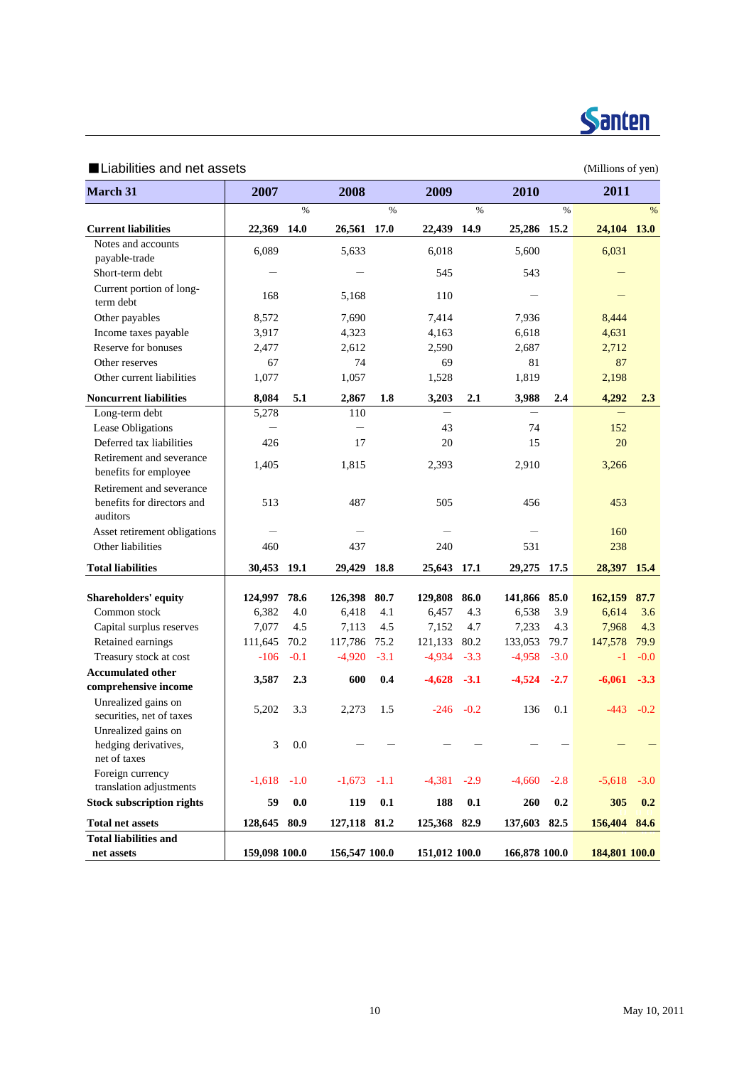

## ■Liabilities and net assets (Millions of yen)

| March 31                                                           | 2007          |         | 2008          |        | 2009          |        | 2010          |        | 2011          |        |
|--------------------------------------------------------------------|---------------|---------|---------------|--------|---------------|--------|---------------|--------|---------------|--------|
|                                                                    |               | $\%$    |               | $\%$   |               | $\%$   |               | $\%$   |               | %      |
| <b>Current liabilities</b>                                         | 22,369 14.0   |         | 26,561 17.0   |        | 22,439 14.9   |        | 25,286 15.2   |        | 24,104 13.0   |        |
| Notes and accounts                                                 | 6,089         |         | 5,633         |        | 6,018         |        | 5,600         |        | 6,031         |        |
| payable-trade                                                      |               |         |               |        |               |        |               |        |               |        |
| Short-term debt                                                    |               |         |               |        | 545           |        | 543           |        |               |        |
| Current portion of long-<br>term debt                              | 168           |         | 5,168         |        | 110           |        |               |        |               |        |
| Other payables                                                     | 8,572         |         | 7,690         |        | 7,414         |        | 7,936         |        | 8,444         |        |
| Income taxes payable                                               | 3,917         |         | 4,323         |        | 4,163         |        | 6,618         |        | 4,631         |        |
| Reserve for bonuses                                                | 2,477         |         | 2,612         |        | 2,590         |        | 2,687         |        | 2,712         |        |
| Other reserves                                                     | 67            |         | 74            |        | 69            |        | 81            |        | 87            |        |
| Other current liabilities                                          | 1,077         |         | 1,057         |        | 1,528         |        | 1,819         |        | 2,198         |        |
| <b>Noncurrent liabilities</b>                                      | 8,084         | $5.1\,$ | 2,867         | 1.8    | 3,203         | 2.1    | 3,988         | 2.4    | 4,292         | 2.3    |
| Long-term debt                                                     | 5,278         |         | 110           |        |               |        |               |        |               |        |
| Lease Obligations                                                  |               |         |               |        | 43            |        | 74            |        | 152           |        |
| Deferred tax liabilities                                           | 426           |         | 17            |        | 20            |        | 15            |        | 20            |        |
| Retirement and severance<br>benefits for employee                  | 1,405         |         | 1,815         |        | 2,393         |        | 2,910         |        | 3,266         |        |
| Retirement and severance<br>benefits for directors and<br>auditors | 513           |         | 487           |        | 505           |        | 456           |        | 453           |        |
| Asset retirement obligations                                       |               |         |               |        |               |        |               |        | 160           |        |
| Other liabilities                                                  | 460           |         | 437           |        | 240           |        | 531           |        | 238           |        |
| <b>Total liabilities</b>                                           | 30,453 19.1   |         | 29,429        | 18.8   | 25,643 17.1   |        | 29,275 17.5   |        | 28,397        | 15.4   |
| Shareholders' equity                                               | 124,997       | 78.6    | 126,398       | 80.7   | 129,808       | 86.0   | 141,866       | 85.0   | 162,159       | 87.7   |
| Common stock                                                       | 6,382         | 4.0     | 6,418         | 4.1    | 6,457         | 4.3    | 6,538         | 3.9    | 6,614         | 3.6    |
| Capital surplus reserves                                           | 7,077         | 4.5     | 7,113         | 4.5    | 7,152         | 4.7    | 7,233         | 4.3    | 7,968         | 4.3    |
| Retained earnings                                                  | 111,645       | 70.2    | 117,786       | 75.2   | 121,133       | 80.2   | 133,053       | 79.7   | 147,578       | 79.9   |
| Treasury stock at cost                                             | $-106$        | $-0.1$  | $-4,920$      | $-3.1$ | $-4,934$      | $-3.3$ | $-4,958$      | $-3.0$ | $-1$          | $-0.0$ |
| <b>Accumulated other</b>                                           |               |         |               |        |               |        |               |        |               |        |
| comprehensive income                                               | 3,587         | 2.3     | 600           | 0.4    | $-4,628$      | $-3.1$ | $-4,524$      | $-2.7$ | $-6,061$      | $-3.3$ |
| Unrealized gains on<br>securities, net of taxes                    | 5,202         | 3.3     | 2,273         | 1.5    | $-246$        | $-0.2$ | 136           | 0.1    | $-443$        | $-0.2$ |
| Unrealized gains on<br>hedging derivatives,<br>net of taxes        | 3             | 0.0     |               |        |               |        |               |        |               |        |
| Foreign currency<br>translation adjustments                        | $-1,618$      | $-1.0$  | $-1,673$      | $-1.1$ | $-4,381$      | $-2.9$ | $-4,660$      | $-2.8$ | $-5,618$      | $-3.0$ |
| <b>Stock subscription rights</b>                                   | 59            | 0.0     | 119           | 0.1    | 188           | 0.1    | ${\bf 260}$   | 0.2    | 305           | 0.2    |
| <b>Total net assets</b>                                            | 128,645       | 80.9    | 127,118 81.2  |        | 125,368       | 82.9   | 137,603       | 82.5   | 156,404       | 84.6   |
| <b>Total liabilities and</b>                                       |               |         |               |        |               |        |               |        |               |        |
| net assets                                                         | 159,098 100.0 |         | 156,547 100.0 |        | 151,012 100.0 |        | 166,878 100.0 |        | 184,801 100.0 |        |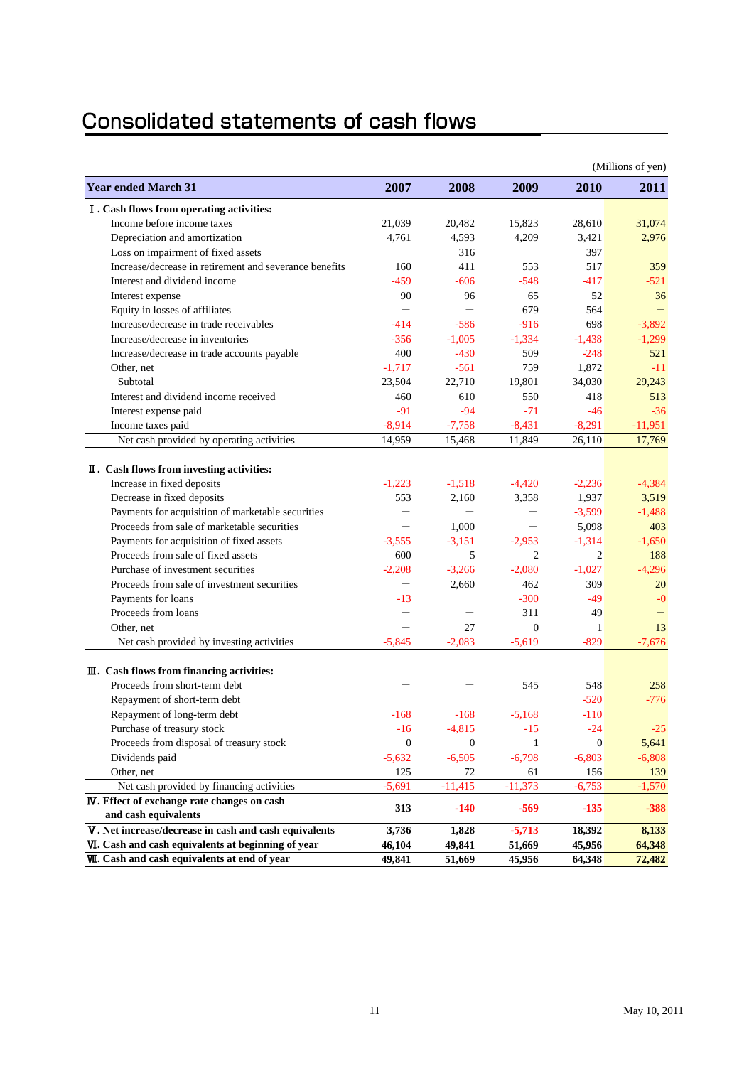# Consolidated statements of cash flows

|                                                                               |                           |                          |                          |                | (Millions of yen) |
|-------------------------------------------------------------------------------|---------------------------|--------------------------|--------------------------|----------------|-------------------|
| <b>Year ended March 31</b>                                                    | 2007                      | 2008                     | 2009                     | 2010           | <b>2011</b>       |
| I. Cash flows from operating activities:                                      |                           |                          |                          |                |                   |
| Income before income taxes                                                    | 21,039                    | 20,482                   | 15,823                   | 28,610         | 31,074            |
| Depreciation and amortization                                                 | 4,761                     | 4,593                    | 4,209                    | 3,421          | 2,976             |
| Loss on impairment of fixed assets                                            |                           | 316                      |                          | 397            |                   |
| Increase/decrease in retirement and severance benefits                        | 160                       | 411                      | 553                      | 517            | 359               |
| Interest and dividend income                                                  | $-459$                    | $-606$                   | $-548$                   | $-417$         | $-521$            |
| Interest expense                                                              | 90                        | 96                       | 65                       | 52             | 36                |
| Equity in losses of affiliates                                                |                           |                          | 679                      | 564            |                   |
| Increase/decrease in trade receivables                                        | $-414$                    | $-586$                   | $-916$                   | 698            | $-3,892$          |
| Increase/decrease in inventories                                              | $-356$                    | $-1,005$                 | $-1,334$                 | $-1,438$       | $-1,299$          |
| Increase/decrease in trade accounts payable                                   | 400                       | $-430$                   | 509                      | $-248$         | 521               |
| Other, net                                                                    | $-1,717$                  | $-561$                   | 759                      | 1,872          | $-11$             |
| Subtotal                                                                      | 23,504                    | 22,710                   | 19,801                   | 34,030         | 29,243            |
| Interest and dividend income received                                         | 460                       | 610                      | 550                      | 418            | 513               |
| Interest expense paid                                                         | $-91$                     | $-94$                    | $-71$                    | $-46$          | $-36$             |
| Income taxes paid                                                             | $-8,914$                  | $-7,758$                 | $-8,431$                 | $-8,291$       | $-11,951$         |
| Net cash provided by operating activities                                     | 14,959                    | 15,468                   | 11,849                   | 26.110         | 17,769            |
|                                                                               |                           |                          |                          |                |                   |
| II. Cash flows from investing activities:                                     |                           |                          |                          |                |                   |
| Increase in fixed deposits                                                    | $-1,223$                  | $-1,518$                 | $-4,420$                 | $-2,236$       | $-4,384$          |
| Decrease in fixed deposits                                                    | 553                       | 2,160                    | 3,358                    | 1,937          | 3,519             |
| Payments for acquisition of marketable securities                             | $\overline{\phantom{0}}$  | $\overline{\phantom{0}}$ | $\overline{\phantom{0}}$ | $-3,599$       | $-1,488$          |
| Proceeds from sale of marketable securities                                   | $\overline{\phantom{m}}$  | 1,000                    | $\qquad \qquad -$        | 5,098          | 403               |
| Payments for acquisition of fixed assets                                      | $-3.555$                  | $-3.151$                 | $-2,953$                 | $-1,314$       | $-1.650$          |
| Proceeds from sale of fixed assets                                            | 600                       | 5                        | $\overline{2}$           | $\overline{2}$ | 188               |
| Purchase of investment securities                                             | $-2.208$                  | $-3,266$                 | $-2,080$                 | $-1,027$       | $-4,296$          |
| Proceeds from sale of investment securities                                   | $\overline{\phantom{0}}$  | 2,660                    | 462                      | 309            | 20                |
| Payments for loans                                                            | $-13$                     |                          | $-300$                   | $-49$          | $-0$              |
| Proceeds from loans                                                           | $\overline{\phantom{0}}$  |                          | 311                      | 49             |                   |
| Other, net                                                                    |                           | 27                       | $\overline{0}$           | 1              | 13                |
| Net cash provided by investing activities                                     | $-5.845$                  | $-2.083$                 | $-5,619$                 | $-829$         | $-7,676$          |
| $\mathbf{I}$ . Cash flows from financing activities:                          |                           |                          |                          |                |                   |
| Proceeds from short-term debt                                                 |                           |                          | 545                      | 548            | 258               |
| Repayment of short-term debt                                                  |                           |                          | $\overline{\phantom{0}}$ | $-520$         | $-776$            |
| Repayment of long-term debt                                                   | $-168$                    | $-168$                   | $-5,168$                 | $-110$         |                   |
|                                                                               |                           |                          |                          |                |                   |
| Purchase of treasury stock                                                    | $-16$<br>$\boldsymbol{0}$ | $-4,815$                 | $-15$                    | $-24$          | $-25$             |
| Proceeds from disposal of treasury stock                                      |                           | $\mathbf{0}$             | 1                        | $\theta$       | 5,641             |
| Dividends paid                                                                | $-5,632$                  | $-6,505$                 | $-6,798$                 | $-6,803$       | $-6,808$          |
| Other, net                                                                    | 125                       | 72                       | 61                       | 156            | 139               |
| Net cash provided by financing activities                                     | $-5,691$                  | $-11,415$                | $-11,373$                | $-6,753$       | $-1,570$          |
| <b>IV</b> . Effect of exchange rate changes on cash                           | 313                       | $-140$                   | $-569$                   | $-135$         | $-388$            |
| and cash equivalents<br>V. Net increase/decrease in cash and cash equivalents | 3,736                     | 1,828                    | $-5,713$                 | 18,392         | 8,133             |
| VI. Cash and cash equivalents at beginning of year                            | 46,104                    | 49,841                   | 51,669                   | 45,956         | 64,348            |
| <b>VII.</b> Cash and cash equivalents at end of year                          | 49,841                    | 51,669                   | 45,956                   | 64,348         | 72,482            |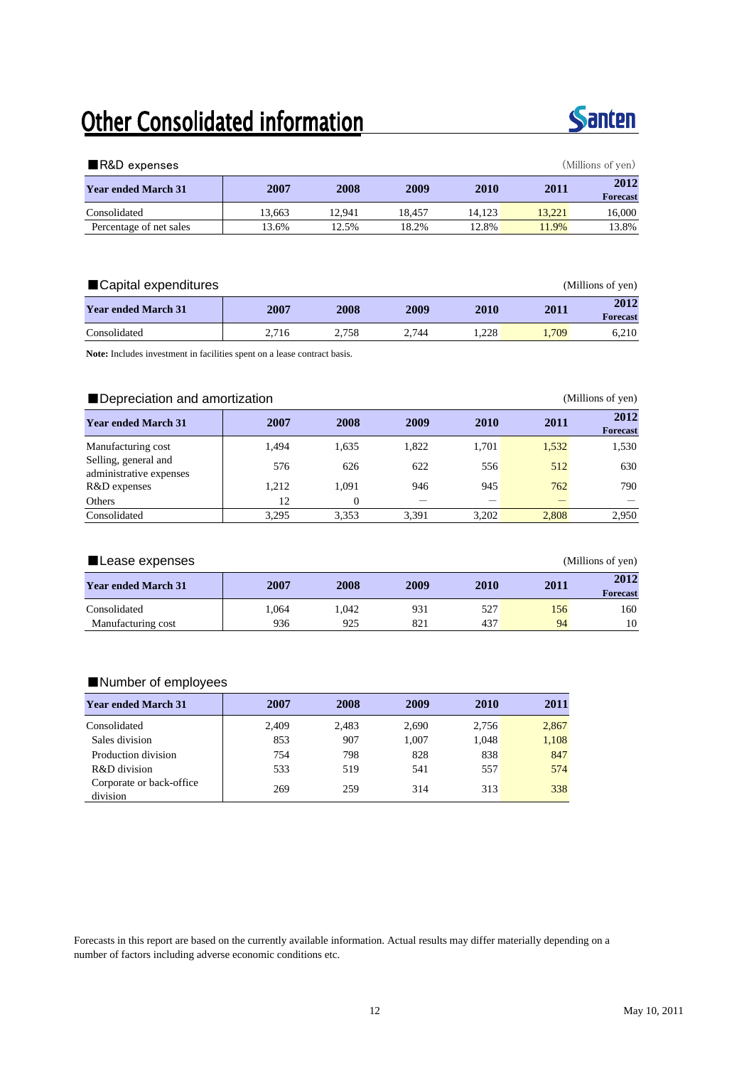# Other Consolidated information



| (Millions of yen)<br>$\blacksquare$ R&D expenses |        |        |        |        |        |                         |  |  |  |  |  |
|--------------------------------------------------|--------|--------|--------|--------|--------|-------------------------|--|--|--|--|--|
| <b>Year ended March 31</b>                       | 2007   | 2008   | 2009   | 2010   | 2011   | 2012<br><b>Forecast</b> |  |  |  |  |  |
| Consolidated                                     | 13.663 | 12.941 | 18.457 | 14.123 | 13.221 | 16,000                  |  |  |  |  |  |
| Percentage of net sales                          | 13.6%  | 12.5%  | 18.2%  | 12.8%  | 11.9%  | 13.8%                   |  |  |  |  |  |

| ■Capital expenditures<br>(Millions of yen) |       |       |       |       |       |                         |  |  |  |
|--------------------------------------------|-------|-------|-------|-------|-------|-------------------------|--|--|--|
| <b>Year ended March 31</b>                 | 2007  | 2008  | 2009  | 2010  | 2011  | 2012<br><b>Forecast</b> |  |  |  |
| Consolidated                               | 2.716 | 2.758 | 2.744 | 1.228 | 1.709 | 6.210                   |  |  |  |

**Note:** Includes investment in facilities spent on a lease contract basis.

### ■ Depreciation and amortization (Millions of yen) **12012 12011 2007 2008 2009 2010 2011 2012 2012 Forecast** Manufacturing cost 1,494 1,635 1,822 1,701 1,532 1,530 Selling, general and Selling, general and<br>
administrative expenses 626 626 622 556 512 630<br>
R&D expenses 1,212 1,091 946 945 762 790 R&D expenses 1,212 1,091 946 945 762 Others 2.12 0  $-$ Consolidated 3,295 3,353 3,391 3,202 2,808 2,950

| ∎Lease expenses            |      | (Millions of yen) |      |      |      |                         |
|----------------------------|------|-------------------|------|------|------|-------------------------|
| <b>Year ended March 31</b> | 2007 | 2008              | 2009 | 2010 | 2011 | 2012<br><b>Forecast</b> |
| Consolidated               | .064 | .042              | 931  | 527  | 156  | 160                     |
| Manufacturing cost         | 936  | 925               | 821  | 437  | 94   | 10                      |

### ■Number of employees

| <b>Year ended March 31</b>           | 2007  | 2008  | 2009  | 2010  | 2011  |
|--------------------------------------|-------|-------|-------|-------|-------|
| Consolidated                         | 2.409 | 2,483 | 2,690 | 2,756 | 2,867 |
| Sales division                       | 853   | 907   | 1,007 | 1,048 | 1,108 |
| Production division                  | 754   | 798   | 828   | 838   | 847   |
| R&D division                         | 533   | 519   | 541   | 557   | 574   |
| Corporate or back-office<br>division | 269   | 259   | 314   | 313   | 338   |

Forecasts in this report are based on the currently available information. Actual results may differ materially depending on a number of factors including adverse economic conditions etc.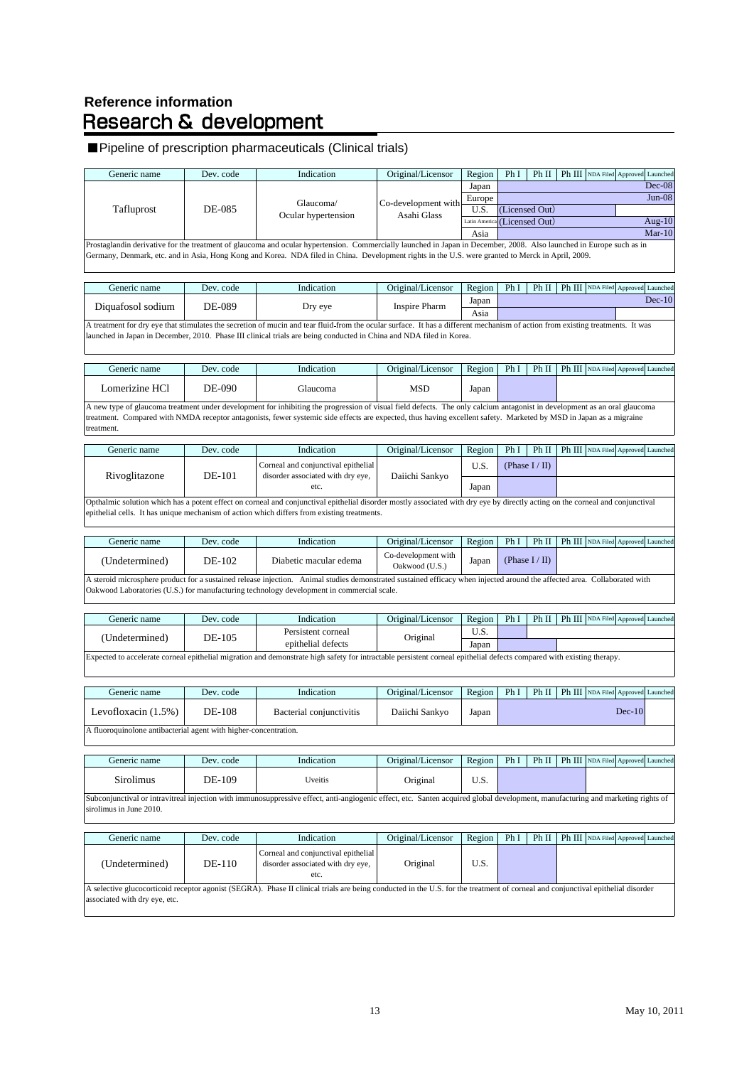# **Reference information<br>Research & development**

# ■Pipeline of prescription pharmaceuticals (Clinical trials)

| Generic name                                                     | Dev. code | Indication                                                                                                                                                                                                                                                                                                                                      | Original/Licensor                     | Region        | Ph I | Ph II             |        | Ph III NDA Filed Approved Launched |          |           |
|------------------------------------------------------------------|-----------|-------------------------------------------------------------------------------------------------------------------------------------------------------------------------------------------------------------------------------------------------------------------------------------------------------------------------------------------------|---------------------------------------|---------------|------|-------------------|--------|------------------------------------|----------|-----------|
|                                                                  |           |                                                                                                                                                                                                                                                                                                                                                 |                                       | Japan         |      |                   |        |                                    |          | $Dec-08$  |
|                                                                  |           | Glaucoma/                                                                                                                                                                                                                                                                                                                                       | Co-development with                   | Europe        |      |                   |        |                                    |          | $Jun-08$  |
| Tafluprost                                                       | DE-085    | Ocular hypertension                                                                                                                                                                                                                                                                                                                             | Asahi Glass                           | U.S.          |      | (Licensed Out)    |        |                                    |          |           |
|                                                                  |           |                                                                                                                                                                                                                                                                                                                                                 |                                       | Latin America |      | (Licensed Out)    |        |                                    |          | Aug- $10$ |
|                                                                  |           |                                                                                                                                                                                                                                                                                                                                                 |                                       | Asia          |      |                   |        |                                    |          | $Mar-10$  |
|                                                                  |           | Prostaglandin derivative for the treatment of glaucoma and ocular hypertension. Commercially launched in Japan in December, 2008. Also launched in Europe such as in<br>Germany, Denmark, etc. and in Asia, Hong Kong and Korea. NDA filed in China. Development rights in the U.S. were granted to Merck in April, 2009.                       |                                       |               |      |                   |        |                                    |          |           |
| Generic name                                                     | Dev. code | Indication                                                                                                                                                                                                                                                                                                                                      | Original/Licensor                     | Region        | Ph I | Ph II             |        | Ph III NDA Filed Approved Launched |          |           |
| Diquafosol sodium                                                | DE-089    | Dry eye                                                                                                                                                                                                                                                                                                                                         | <b>Inspire Pharm</b>                  | Japan<br>Asia |      |                   |        |                                    |          | $Dec-10$  |
|                                                                  |           | A treatment for dry eye that stimulates the secretion of mucin and tear fluid-from the ocular surface. It has a different mechanism of action from existing treatments. It was<br>launched in Japan in December, 2010. Phase III clinical trials are being conducted in China and NDA filed in Korea.                                           |                                       |               |      |                   |        |                                    |          |           |
| Generic name                                                     | Dev. code | Indication                                                                                                                                                                                                                                                                                                                                      | Original/Licensor                     | Region        | Ph I | Ph II             |        | Ph III NDA Filed Approved Launched |          |           |
| Lomerizine HCl                                                   | DE-090    | Glaucoma                                                                                                                                                                                                                                                                                                                                        | <b>MSD</b>                            | Japan         |      |                   |        |                                    |          |           |
| treatment.                                                       |           | A new type of glaucoma treatment under development for inhibiting the progression of visual field defects. The only calcium antagonist in development as an oral glaucoma<br>treatment. Compared with NMDA receptor antagonists, fewer systemic side effects are expected, thus having excellent safety. Marketed by MSD in Japan as a migraine |                                       |               |      |                   |        |                                    |          |           |
| Generic name                                                     | Dev. code | Indication                                                                                                                                                                                                                                                                                                                                      | Original/Licensor                     | Region        | Ph I | Ph II             | Ph III | NDA Filed Approved Launched        |          |           |
|                                                                  |           | Corneal and conjunctival epithelial                                                                                                                                                                                                                                                                                                             |                                       | U.S.          |      | (Phase $I / II$ ) |        |                                    |          |           |
| Rivoglitazone                                                    | DE-101    | disorder associated with dry eye,<br>etc.                                                                                                                                                                                                                                                                                                       | Daiichi Sankyo                        | Japan         |      |                   |        |                                    |          |           |
|                                                                  |           | Opthalmic solution which has a potent effect on corneal and conjunctival epithelial disorder mostly associated with dry eye by directly acting on the corneal and conjunctival<br>epithelial cells. It has unique mechanism of action which differs from existing treatments.                                                                   |                                       |               |      |                   |        |                                    |          |           |
| Generic name                                                     | Dev. code | Indication                                                                                                                                                                                                                                                                                                                                      | Original/Licensor                     | Region        | Ph I | Ph II             |        | Ph III NDA Filed Approved Launched |          |           |
| (Undetermined)                                                   | DE-102    | Diabetic macular edema                                                                                                                                                                                                                                                                                                                          | Co-development with<br>Oakwood (U.S.) | Japan         |      | (Phase $I / II$ ) |        |                                    |          |           |
|                                                                  |           | A steroid microsphere product for a sustained release injection. Animal studies demonstrated sustained efficacy when injected around the affected area. Collaborated with<br>Oakwood Laboratories (U.S.) for manufacturing technology development in commercial scale.                                                                          |                                       |               |      |                   |        |                                    |          |           |
| Generic name                                                     | Dev. code | Indication                                                                                                                                                                                                                                                                                                                                      | Original/Licensor                     | Region        | Ph I | Ph II             |        | Ph III NDA Filed Approved Launched |          |           |
| (Undetermined)                                                   | DE-105    | Persistent corneal                                                                                                                                                                                                                                                                                                                              | Original                              | U.S.          |      |                   |        |                                    |          |           |
|                                                                  |           | epithelial defects<br>Expected to accelerate corneal epithelial migration and demonstrate high safety for intractable persistent corneal epithelial defects compared with existing therapy.                                                                                                                                                     |                                       | Japan         |      |                   |        |                                    |          |           |
| Generic name                                                     | Dev. code | Indication                                                                                                                                                                                                                                                                                                                                      | Original/Licensor                     | Region        | Ph I | Ph II             |        | Ph III NDA Filed Approved          |          | Launched  |
| Levofloxacin $(1.5%)$                                            | DE-108    | Bacterial conjunctivitis                                                                                                                                                                                                                                                                                                                        | Daiichi Sankyo                        | Japan         |      |                   |        |                                    | $Dec-10$ |           |
| A fluoroquinolone antibacterial agent with higher-concentration. |           |                                                                                                                                                                                                                                                                                                                                                 |                                       |               |      |                   |        |                                    |          |           |
| Generic name                                                     | Dev. code | Indication                                                                                                                                                                                                                                                                                                                                      | Original/Licensor                     | Region        | Ph I | Ph II             |        | Ph III NDA Filed Approved Launched |          |           |
| Sirolimus                                                        | DE-109    | Uveitis                                                                                                                                                                                                                                                                                                                                         | Original                              | U.S.          |      |                   |        |                                    |          |           |
| sirolimus in June 2010.                                          |           | Subconjunctival or intravitreal injection with immunosuppressive effect, anti-angiogenic effect, etc. Santen acquired global development, manufacturing and marketing rights of                                                                                                                                                                 |                                       |               |      |                   |        |                                    |          |           |
| Generic name                                                     | Dev. code | Indication                                                                                                                                                                                                                                                                                                                                      | Original/Licensor                     | Region        | Ph I | Ph II             |        | Ph III NDA Filed Approved Launched |          |           |
| (Undetermined)                                                   | DE-110    | Corneal and conjunctival epithelial<br>disorder associated with dry eye,<br>etc.                                                                                                                                                                                                                                                                | Original                              | U.S.          |      |                   |        |                                    |          |           |
| associated with dry eye, etc.                                    |           | A selective glucocorticoid receptor agonist (SEGRA). Phase II clinical trials are being conducted in the U.S. for the treatment of corneal and conjunctival epithelial disorder                                                                                                                                                                 |                                       |               |      |                   |        |                                    |          |           |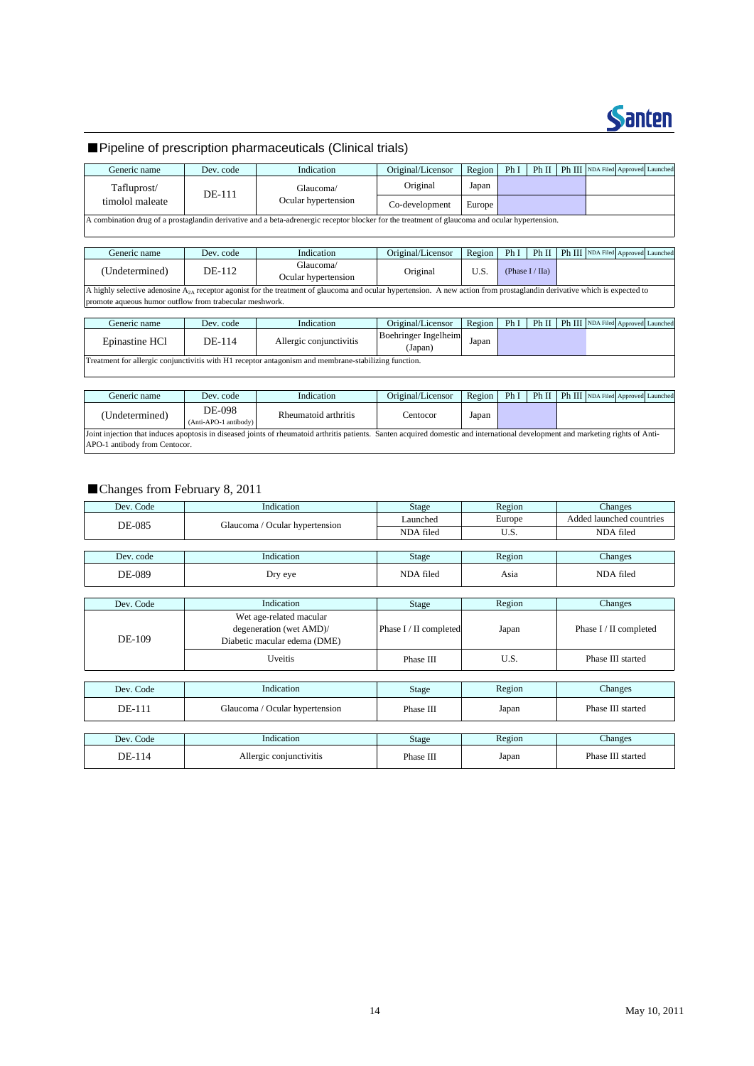

# ■Pipeline of prescription pharmaceuticals (Clinical trials)

| Generic name                                                                                                                                   | Dev. code | Indication          | Original/Licensor | Region | Ph I | Ph II |  | Ph III NDA Filed Approved Launched |  |
|------------------------------------------------------------------------------------------------------------------------------------------------|-----------|---------------------|-------------------|--------|------|-------|--|------------------------------------|--|
| Tafluprost/<br>DE-111                                                                                                                          | Glaucoma/ | Original            | Japan             |        |      |       |  |                                    |  |
| timolol maleate                                                                                                                                |           | Ocular hypertension | Co-development    | Europe |      |       |  |                                    |  |
| A combination drug of a prostaglandin derivative and a beta-adrenergic receptor blocker for the treatment of glaucoma and ocular hypertension. |           |                     |                   |        |      |       |  |                                    |  |

Generic name Dev. code Indication | Original/Licensor Region Ph I Ph II Ph III NDA Filed Approved Launched A highly selective adenosine A<sub>2A</sub> receptor agonist for the treatment of glaucoma and ocular hypertension. A new action from prostaglandin derivative which is expected to promote aqueous humor outflow from trabecular meshwork. (Undetermined) DE-112 Glaucoma Giaucoma/<br>Ocular hypertension Original U.S. (Phase I/ IIa)

| Generic name                                                                                                     | Dev. code | Indication              | Original/Licensor               | Region | PhI |  |  |  | Ph II   Ph III   NDA Filed Approved Launched |  |
|------------------------------------------------------------------------------------------------------------------|-----------|-------------------------|---------------------------------|--------|-----|--|--|--|----------------------------------------------|--|
| Epinastine HCl                                                                                                   | DE-114    | Allergic conjunctivitis | Boehringer Ingelheim<br>(Japan) | Japan  |     |  |  |  |                                              |  |
| Treatment for allergic conjunctivitis with H <sub>1</sub> receptor antagonism and membrane-stabilizing function. |           |                         |                                 |        |     |  |  |  |                                              |  |

| Generic name                                                                                                                                                                     | Dev. code                       | Indication           | Original/Licensor | Region | PhI | Ph II |  | Ph III NDA Filed Approved Launched |  |
|----------------------------------------------------------------------------------------------------------------------------------------------------------------------------------|---------------------------------|----------------------|-------------------|--------|-----|-------|--|------------------------------------|--|
| (Undetermined)                                                                                                                                                                   | DE-098<br>(Anti-APO-1 antibody) | Rheumatoid arthritis | Centocor          | Japan  |     |       |  |                                    |  |
| Joint injection that induces apoptosis in diseased joints of rheumatoid arthritis patients. Santen acquired domestic and international development and marketing rights of Anti- |                                 |                      |                   |        |     |       |  |                                    |  |
| APO-1 antibody from Centocor.                                                                                                                                                    |                                 |                      |                   |        |     |       |  |                                    |  |

### ■Changes from February 8, 2011

| Dev. Code     | Indication                                         | Stage                  | Region | Changes                  |
|---------------|----------------------------------------------------|------------------------|--------|--------------------------|
| <b>DE-085</b> | Glaucoma / Ocular hypertension                     | Launched               | Europe | Added launched countries |
|               |                                                    | NDA filed              | U.S.   | NDA filed                |
|               |                                                    |                        |        |                          |
| Dev. code     | Indication                                         | Stage                  | Region | Changes                  |
| <b>DE-089</b> | Dry eye                                            | NDA filed              | Asia   | NDA filed                |
|               |                                                    |                        |        |                          |
| Dev. Code     | Indication                                         | Stage                  | Region | Changes                  |
| DE-109        | Wet age-related macular<br>degeneration (wet AMD)/ | Phase I / II completed | Japan  | Phase I / II completed   |
|               | Diabetic macular edema (DME)                       |                        |        |                          |
|               | <b>Uveitis</b>                                     | Phase III              | U.S.   | Phase III started        |
|               |                                                    |                        |        |                          |
| Dev. Code     | Indication                                         | <b>Stage</b>           | Region | Changes                  |
| DE-111        | Glaucoma / Ocular hypertension                     | Phase III              | Japan  | Phase III started        |
|               |                                                    |                        |        |                          |
| Dev. Code     | Indication                                         | Stage                  | Region | Changes                  |
| DE-114        | Allergic conjunctivitis                            | Phase III              | Japan  | Phase III started        |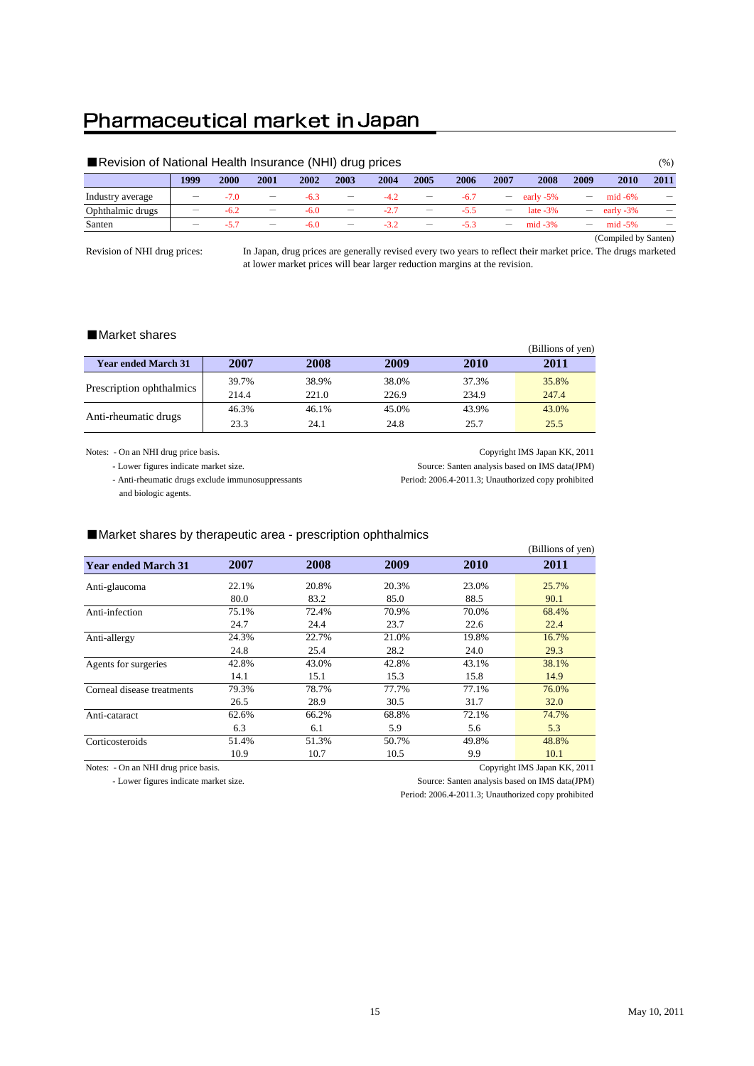# Pharmaceutical market in Japan

| Revision of National Health Insurance (NHI) drug prices |                          |        |                                 |        |                                 |        |                          |        |                                 |             |                   |                      | $(\% )$                  |
|---------------------------------------------------------|--------------------------|--------|---------------------------------|--------|---------------------------------|--------|--------------------------|--------|---------------------------------|-------------|-------------------|----------------------|--------------------------|
|                                                         | 1999                     | 2000   | 2001                            | 2002   | 2003                            | 2004   | 2005                     | 2006   | 2007                            | 2008        | 2009              | 2010                 | 2011                     |
| Industry average                                        |                          | $-7.0$ | $\overline{\phantom{0}}$        | $-6.3$ |                                 | $-4.2$ | —                        | $-6.7$ | $-$                             | early -5%   |                   | $mid -6\%$           |                          |
| Ophthalmic drugs                                        |                          | $-6.2$ | —                               | $-6.0$ | $\hspace{0.1mm}-\hspace{0.1mm}$ | $-2.7$ | $\overline{\phantom{m}}$ | $-5.5$ | $\hspace{0.1mm}-\hspace{0.1mm}$ | late $-3\%$ |                   | early -3%            |                          |
| Santen                                                  | $\overline{\phantom{0}}$ | $-5.7$ | $\hspace{0.1mm}-\hspace{0.1mm}$ | $-6.0$ | $\hspace{0.1mm}-\hspace{0.1mm}$ | $-3.2$ | $\overline{\phantom{m}}$ | $-5.3$ | $\qquad \qquad -$               | $mid -3%$   | $\qquad \qquad -$ | $mid -5%$            | $\overline{\phantom{m}}$ |
|                                                         |                          |        |                                 |        |                                 |        |                          |        |                                 |             |                   | (Compiled by Santen) |                          |

Revision of NHI drug prices:

In Japan, drug prices are generally revised every two years to reflect their market price. The drugs marketed at lower market prices will bear larger reduction margins at the revision.

### ■Market shares

|                            |       |       |       |       | (Billions of yen) |
|----------------------------|-------|-------|-------|-------|-------------------|
| <b>Year ended March 31</b> | 2007  | 2008  | 2009  | 2010  | 2011              |
|                            | 39.7% | 38.9% | 38.0% | 37.3% | 35.8%             |
| Prescription ophthalmics   | 214.4 | 221.0 | 226.9 | 234.9 | 247.4             |
|                            | 46.3% | 46.1% | 45.0% | 43.9% | 43.0%             |
| Anti-rheumatic drugs       | 23.3  | 24.1  | 24.8  | 25.7  | 25.5              |

Notes: - On an NHI drug price basis. Copyright IMS Japan KK, 2011

- Lower figures indicate market size. Source: Santen analysis based on IMS data(JPM)

 - Anti-rheumatic drugs exclude immunosuppressants Period: 2006.4-2011.3; Unauthorized copy prohibited and biologic agents.

### ■Market shares by therapeutic area - prescription ophthalmics

|                            |       |       |       |       | (Billions of yen) |
|----------------------------|-------|-------|-------|-------|-------------------|
| <b>Year ended March 31</b> | 2007  | 2008  | 2009  | 2010  | 2011              |
| Anti-glaucoma              | 22.1% | 20.8% | 20.3% | 23.0% | 25.7%             |
|                            | 80.0  | 83.2  | 85.0  | 88.5  | 90.1              |
| Anti-infection             | 75.1% | 72.4% | 70.9% | 70.0% | 68.4%             |
|                            | 24.7  | 24.4  | 23.7  | 22.6  | 22.4              |
| Anti-allergy               | 24.3% | 22.7% | 21.0% | 19.8% | 16.7%             |
|                            | 24.8  | 25.4  | 28.2  | 24.0  | 29.3              |
| Agents for surgeries       | 42.8% | 43.0% | 42.8% | 43.1% | 38.1%             |
|                            | 14.1  | 15.1  | 15.3  | 15.8  | 14.9              |
| Corneal disease treatments | 79.3% | 78.7% | 77.7% | 77.1% | 76.0%             |
|                            | 26.5  | 28.9  | 30.5  | 31.7  | 32.0              |
| Anti-cataract              | 62.6% | 66.2% | 68.8% | 72.1% | 74.7%             |
|                            | 6.3   | 6.1   | 5.9   | 5.6   | 5.3               |
| Corticosteroids            | 51.4% | 51.3% | 50.7% | 49.8% | 48.8%             |
|                            | 10.9  | 10.7  | 10.5  | 9.9   | 10.1              |

Notes: - On an NHI drug price basis. Copyright IMS Japan KK, 2011

- Lower figures indicate market size. Source: Santen analysis based on IMS data(JPM)

Period: 2006.4-2011.3; Unauthorized copy prohibited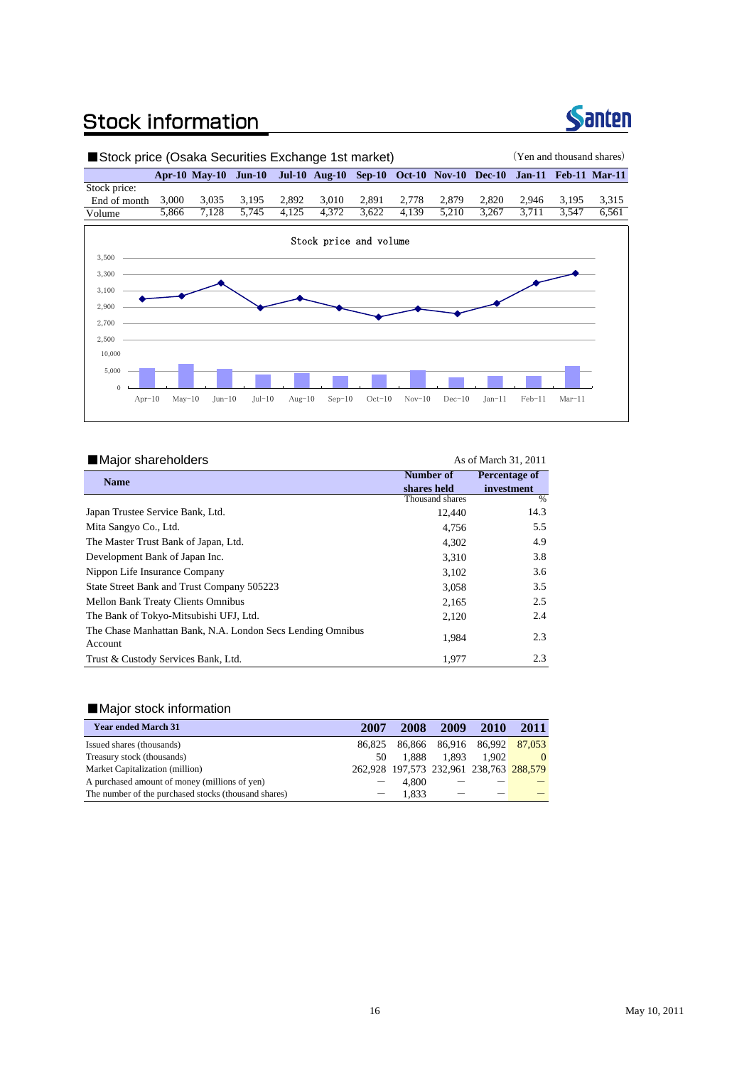# **Stock information**



%

# ■Stock price (Osaka Securities Exchange 1st market) (Yen and thousand shares) **Apr-10 May-10 Jun-10 Jul-10 Aug-10 Sep-10 Oct-10 Nov-10 Dec-10 Jan-11 Feb-11 Mar-11** Stock price: End of month 3,000 3,035 3,195 2,892 3,010 2,891 2,778 2,879 2,820 2,946 3,195 3,315<br>Volume 5,866 7,128 5,745 4,125 4,372 3,622 4,139 5,210 3,267 3,711 3,547 6,561 Volume 5,866 7,128 5,745 4,125 4,372 3,622 4,139 5,210 3,267 3,711 3,547 6,561 Stock price and volume 3,100 3,300 3,500

Apr-10 May-10 Jun-10 Jul-10 Aug-10 Sep-10 Oct-10 Nov-10 Dec-10 Jan-11 Feb-11 Mar-11

#### ■Major shareholders As of March 31, 2011 **Name** 12,440 4,756 4,302 3,310 3,102 3,058 2,165 2,120 1,984 1,977 Trust & Custody Services Bank, Ltd. 2.5 2.4 2.3 2.3 The Bank of Tokyo-Mitsubishi UFJ, Ltd. The Chase Manhattan Bank, N.A. London Secs Lending Omnibus Account **Percentage of investment** 14.3 5.5 4.9 3.8 3.6 3.5 **Number of shares held** Thousand shares Mita Sangyo Co., Ltd. Japan Trustee Service Bank, Ltd. The Master Trust Bank of Japan, Ltd. Development Bank of Japan Inc. State Street Bank and Trust Company 505223 Mellon Bank Treaty Clients Omnibus Nippon Life Insurance Company

### ■Major stock information

 $\overline{0}$ 5,000 10,000

2,500 2,700 2,900

| <b>Year ended March 31</b>                           | 2007   | 2008                                    | 2009  | 2010                 | 2011     |
|------------------------------------------------------|--------|-----------------------------------------|-------|----------------------|----------|
| Issued shares (thousands)                            | 86.825 |                                         |       | 86,866 86,916 86,992 | 87,053   |
| Treasury stock (thousands)                           | 50     | 1.888                                   | 1.893 | 1.902                | $\Omega$ |
| Market Capitalization (million)                      |        | 262,928 197,573 232,961 238,763 288,579 |       |                      |          |
| A purchased amount of money (millions of yen)        |        | 4.800                                   |       |                      |          |
| The number of the purchased stocks (thousand shares) |        | 1.833                                   |       |                      |          |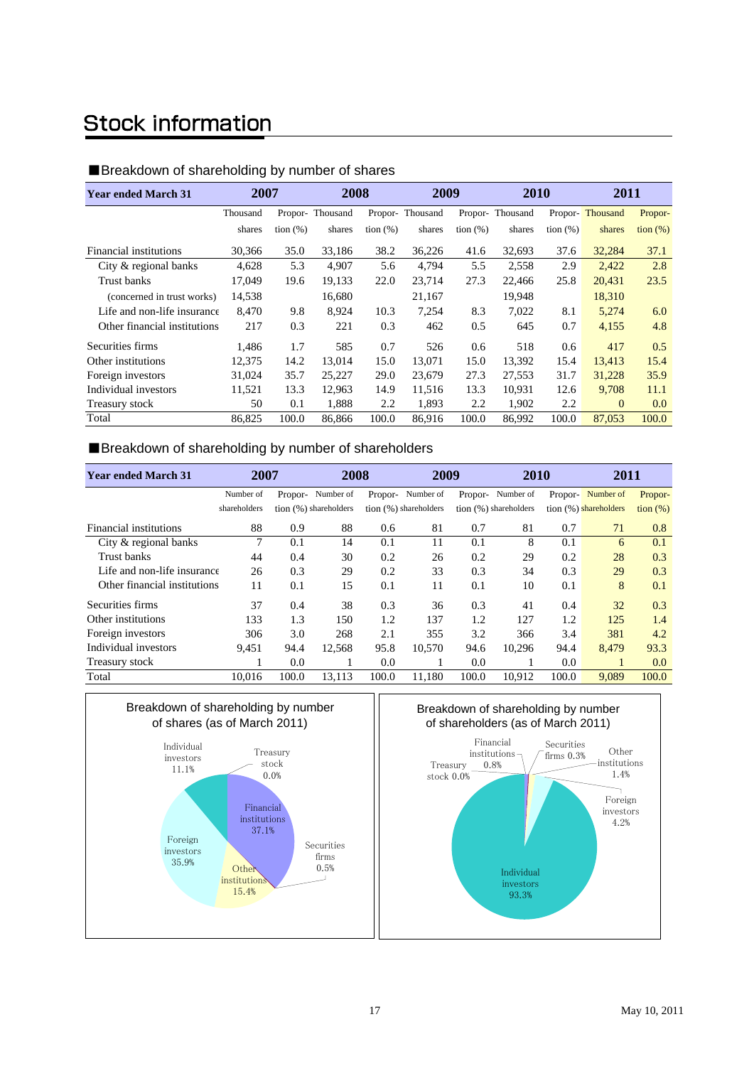# **Stock information**

# ■Breakdown of shareholding by number of shares

| <b>Year ended March 31</b>   | 2007     |             | 2008            |             | 2009            |             | 2010            |             | 2011            |                   |
|------------------------------|----------|-------------|-----------------|-------------|-----------------|-------------|-----------------|-------------|-----------------|-------------------|
|                              | Thousand |             | Propor-Thousand |             | Propor-Thousand |             | Propor-Thousand |             | Propor-Thousand | Propor-           |
|                              | shares   | tion $(\%)$ | shares          | tion $(\%)$ | shares          | tion $(\%)$ | shares          | tion $(\%)$ | shares          | $\frac{1}{2}$ (%) |
| Financial institutions       | 30,366   | 35.0        | 33,186          | 38.2        | 36,226          | 41.6        | 32,693          | 37.6        | 32,284          | 37.1              |
| City & regional banks        | 4,628    | 5.3         | 4,907           | 5.6         | 4,794           | 5.5         | 2,558           | 2.9         | 2,422           | 2.8               |
| Trust banks                  | 17,049   | 19.6        | 19.133          | 22.0        | 23,714          | 27.3        | 22,466          | 25.8        | 20,431          | 23.5              |
| (concerned in trust works)   | 14,538   |             | 16,680          |             | 21,167          |             | 19,948          |             | 18,310          |                   |
| Life and non-life insurance  | 8,470    | 9.8         | 8,924           | 10.3        | 7,254           | 8.3         | 7,022           | 8.1         | 5,274           | 6.0               |
| Other financial institutions | 217      | 0.3         | 221             | 0.3         | 462             | 0.5         | 645             | 0.7         | 4,155           | 4.8               |
| Securities firms             | 1.486    | 1.7         | 585             | 0.7         | 526             | 0.6         | 518             | 0.6         | 417             | 0.5               |
| Other institutions           | 12.375   | 14.2        | 13.014          | 15.0        | 13.071          | 15.0        | 13,392          | 15.4        | 13,413          | 15.4              |
| Foreign investors            | 31,024   | 35.7        | 25,227          | 29.0        | 23,679          | 27.3        | 27,553          | 31.7        | 31,228          | 35.9              |
| Individual investors         | 11,521   | 13.3        | 12,963          | 14.9        | 11,516          | 13.3        | 10,931          | 12.6        | 9,708           | 11.1              |
| Treasury stock               | 50       | 0.1         | 1,888           | 2.2         | 1,893           | 2.2         | 1,902           | 2.2         | $\mathbf{0}$    | 0.0               |
| Total                        | 86,825   | 100.0       | 86,866          | 100.0       | 86,916          | 100.0       | 86,992          | 100.0       | 87,053          | 100.0             |

# ■Breakdown of shareholding by number of shareholders

| <b>Year ended March 31</b>   | 2007         |       | 2008                  |         | 2009                  |         | 2010                  |         | 2011                  |                   |
|------------------------------|--------------|-------|-----------------------|---------|-----------------------|---------|-----------------------|---------|-----------------------|-------------------|
|                              | Number of    |       | Propor-Number of      | Propor- | Number of             | Propor- | Number of             | Propor- | Number of             | Propor-           |
|                              | shareholders |       | tion (%) shareholders |         | tion (%) shareholders |         | tion (%) shareholders |         | tion (%) shareholders | $\frac{1}{2}$ (%) |
| Financial institutions       | 88           | 0.9   | 88                    | 0.6     | 81                    | 0.7     | 81                    | 0.7     | 71                    | 0.8               |
| City & regional banks        | 7            | 0.1   | 14                    | 0.1     | 11                    | 0.1     | 8                     | 0.1     | 6                     | 0.1               |
| Trust banks                  | 44           | 0.4   | 30                    | 0.2     | 26                    | 0.2     | 29                    | 0.2     | 28                    | 0.3               |
| Life and non-life insurance  | 26           | 0.3   | 29                    | 0.2     | 33                    | 0.3     | 34                    | 0.3     | 29                    | 0.3               |
| Other financial institutions | 11           | 0.1   | 15                    | 0.1     | 11                    | 0.1     | 10                    | 0.1     | 8                     | 0.1               |
| Securities firms             | 37           | 0.4   | 38                    | 0.3     | 36                    | 0.3     | 41                    | 0.4     | 32                    | 0.3               |
| Other institutions           | 133          | 1.3   | 150                   | 1.2     | 137                   | 1.2     | 127                   | 1.2     | 125                   | 1.4               |
| Foreign investors            | 306          | 3.0   | 268                   | 2.1     | 355                   | 3.2     | 366                   | 3.4     | 381                   | 4.2               |
| Individual investors         | 9,451        | 94.4  | 12,568                | 95.8    | 10,570                | 94.6    | 10,296                | 94.4    | 8,479                 | 93.3              |
| Treasury stock               |              | 0.0   |                       | 0.0     |                       | 0.0     |                       | 0.0     |                       | 0.0               |
| Total                        | 10.016       | 100.0 | 13,113                | 100.0   | 11.180                | 100.0   | 10,912                | 100.0   | 9,089                 | 100.0             |



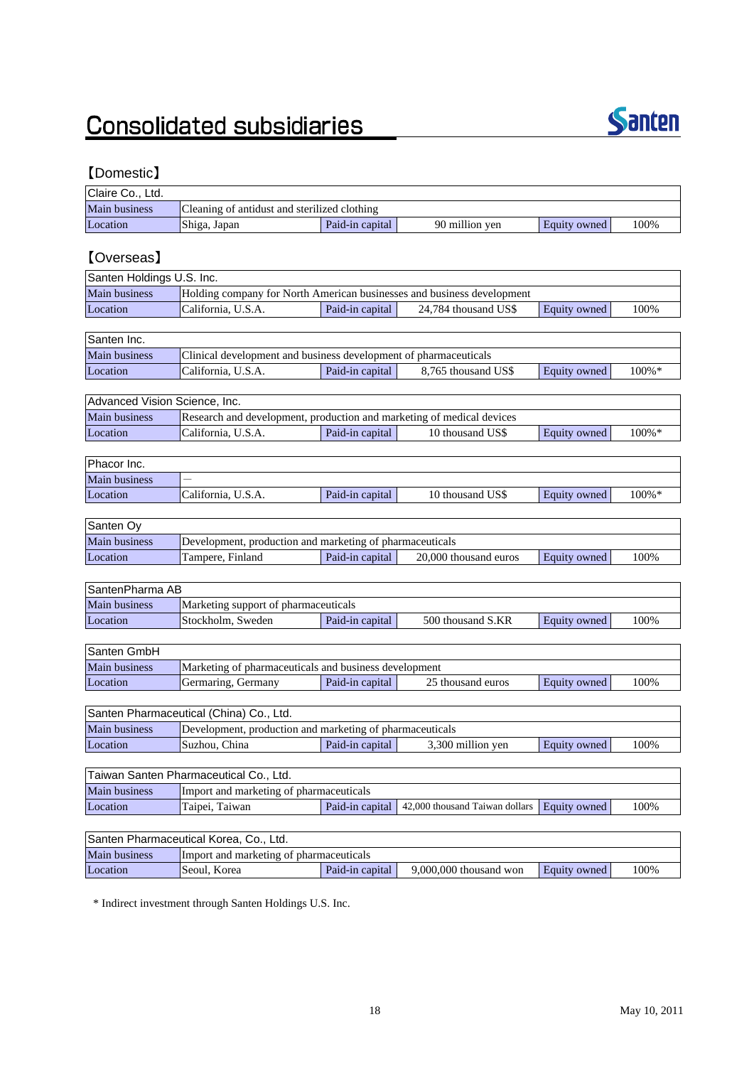# **Consolidated subsidiaries**



# 【Domestic】

| Claire Co., Ltd.              |                                                                        |                 |                                |                     |       |
|-------------------------------|------------------------------------------------------------------------|-----------------|--------------------------------|---------------------|-------|
| Main business                 | Cleaning of antidust and sterilized clothing                           |                 |                                |                     |       |
| Location                      | Shiga, Japan                                                           | Paid-in capital | 90 million yen                 | Equity owned        | 100%  |
|                               |                                                                        |                 |                                |                     |       |
| <b>[Overseas]</b>             |                                                                        |                 |                                |                     |       |
| Santen Holdings U.S. Inc.     |                                                                        |                 |                                |                     |       |
| Main business                 | Holding company for North American businesses and business development |                 |                                |                     |       |
| Location                      | California, U.S.A.                                                     | Paid-in capital | 24,784 thousand US\$           | Equity owned        | 100%  |
|                               |                                                                        |                 |                                |                     |       |
| Santen Inc.                   |                                                                        |                 |                                |                     |       |
| <b>Main business</b>          | Clinical development and business development of pharmaceuticals       |                 |                                |                     |       |
| Location                      | California, U.S.A.                                                     | Paid-in capital | 8,765 thousand US\$            | Equity owned        | 100%* |
|                               |                                                                        |                 |                                |                     |       |
| Advanced Vision Science, Inc. |                                                                        |                 |                                |                     |       |
| <b>Main business</b>          | Research and development, production and marketing of medical devices  |                 |                                |                     |       |
| Location                      | California, U.S.A.                                                     | Paid-in capital | 10 thousand US\$               | Equity owned        | 100%* |
|                               |                                                                        |                 |                                |                     |       |
| Phacor Inc.                   |                                                                        |                 |                                |                     |       |
| Main business                 |                                                                        |                 |                                |                     |       |
| Location                      | California, U.S.A.                                                     | Paid-in capital | 10 thousand US\$               | <b>Equity owned</b> | 100%* |
| Santen Oy                     |                                                                        |                 |                                |                     |       |
| <b>Main business</b>          | Development, production and marketing of pharmaceuticals               |                 |                                |                     |       |
| Location                      | Tampere, Finland                                                       | Paid-in capital | 20,000 thousand euros          | <b>Equity owned</b> | 100%  |
|                               |                                                                        |                 |                                |                     |       |
| SantenPharma AB               |                                                                        |                 |                                |                     |       |
| Main business                 | Marketing support of pharmaceuticals                                   |                 |                                |                     |       |
| Location                      | Stockholm, Sweden                                                      | Paid-in capital | 500 thousand S.KR              | Equity owned        | 100%  |
|                               |                                                                        |                 |                                |                     |       |
| Santen GmbH                   |                                                                        |                 |                                |                     |       |
| Main business                 | Marketing of pharmaceuticals and business development                  |                 |                                |                     |       |
| Location                      | Germaring, Germany                                                     | Paid-in capital | 25 thousand euros              | Equity owned        | 100%  |
|                               |                                                                        |                 |                                |                     |       |
|                               | Santen Pharmaceutical (China) Co., Ltd.                                |                 |                                |                     |       |
| <b>Main business</b>          | Development, production and marketing of pharmaceuticals               |                 |                                |                     |       |
| Location                      | Suzhou, China                                                          | Paid-in capital | 3,300 million yen              | Equity owned        | 100%  |
|                               |                                                                        |                 |                                |                     |       |
|                               | Taiwan Santen Pharmaceutical Co., Ltd.                                 |                 |                                |                     |       |
| Main business                 | Import and marketing of pharmaceuticals                                |                 |                                |                     |       |
| Location                      | Taipei, Taiwan                                                         | Paid-in capital | 42,000 thousand Taiwan dollars | Equity owned        | 100%  |
|                               |                                                                        |                 |                                |                     |       |
|                               | Santen Pharmaceutical Korea, Co., Ltd.                                 |                 |                                |                     |       |
| Main business                 | Import and marketing of pharmaceuticals                                |                 |                                |                     |       |
| Location                      | Seoul, Korea                                                           | Paid-in capital | 9,000,000 thousand won         | Equity owned        | 100%  |

\* Indirect investment through Santen Holdings U.S. Inc.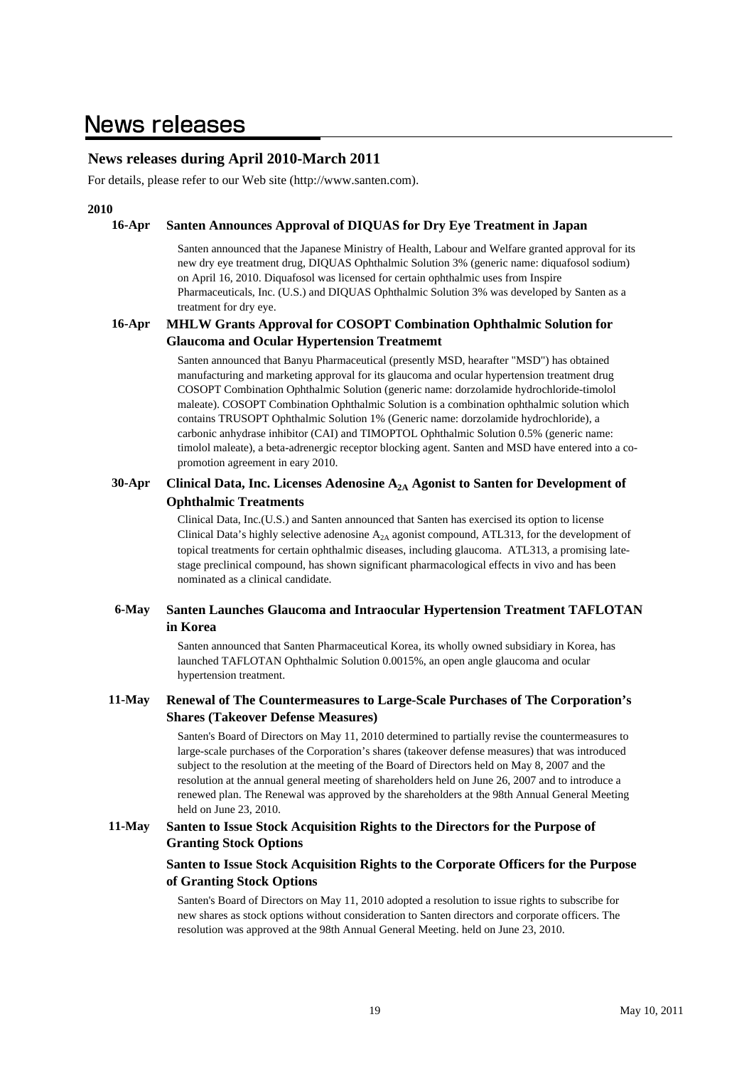# **News releases**

# **News releases during April 2010-March 2011**

For details, please refer to our Web site (http://www.santen.com).

### **2010**

#### **16-Apr Santen Announces Approval of DIQUAS for Dry Eye Treatment in Japan**

Santen announced that the Japanese Ministry of Health, Labour and Welfare granted approval for its new dry eye treatment drug, DIQUAS Ophthalmic Solution 3% (generic name: diquafosol sodium) on April 16, 2010. Diquafosol was licensed for certain ophthalmic uses from Inspire Pharmaceuticals, Inc. (U.S.) and DIQUAS Ophthalmic Solution 3% was developed by Santen as a treatment for dry eye.

#### **16-Apr MHLW Grants Approval for COSOPT Combination Ophthalmic Solution for Glaucoma and Ocular Hypertension Treatmemt**

Santen announced that Banyu Pharmaceutical (presently MSD, hearafter "MSD") has obtained manufacturing and marketing approval for its glaucoma and ocular hypertension treatment drug COSOPT Combination Ophthalmic Solution (generic name: dorzolamide hydrochloride-timolol maleate). COSOPT Combination Ophthalmic Solution is a combination ophthalmic solution which contains TRUSOPT Ophthalmic Solution 1% (Generic name: dorzolamide hydrochloride), a carbonic anhydrase inhibitor (CAI) and TIMOPTOL Ophthalmic Solution 0.5% (generic name: timolol maleate), a beta-adrenergic receptor blocking agent. Santen and MSD have entered into a copromotion agreement in eary 2010.

#### **30-Apr Clinical Data, Inc. Licenses Adenosine A2A Agonist to Santen for Development of Ophthalmic Treatments**

Clinical Data, Inc.(U.S.) and Santen announced that Santen has exercised its option to license Clinical Data's highly selective adenosine  $A_{2A}$  agonist compound, ATL313, for the development of topical treatments for certain ophthalmic diseases, including glaucoma. ATL313, a promising latestage preclinical compound, has shown significant pharmacological effects in vivo and has been nominated as a clinical candidate.

#### **6-May Santen Launches Glaucoma and Intraocular Hypertension Treatment TAFLOTAN in Korea**

Santen announced that Santen Pharmaceutical Korea, its wholly owned subsidiary in Korea, has launched TAFLOTAN Ophthalmic Solution 0.0015%, an open angle glaucoma and ocular hypertension treatment.

#### **11-May Renewal of The Countermeasures to Large-Scale Purchases of The Corporation's Shares (Takeover Defense Measures)**

Santen's Board of Directors on May 11, 2010 determined to partially revise the countermeasures to large-scale purchases of the Corporation's shares (takeover defense measures) that was introduced subject to the resolution at the meeting of the Board of Directors held on May 8, 2007 and the resolution at the annual general meeting of shareholders held on June 26, 2007 and to introduce a renewed plan. The Renewal was approved by the shareholders at the 98th Annual General Meeting held on June 23, 2010.

#### **11-May Santen to Issue Stock Acquisition Rights to the Directors for the Purpose of Granting Stock Options**

### **Santen to Issue Stock Acquisition Rights to the Corporate Officers for the Purpose of Granting Stock Options**

Santen's Board of Directors on May 11, 2010 adopted a resolution to issue rights to subscribe for new shares as stock options without consideration to Santen directors and corporate officers. The resolution was approved at the 98th Annual General Meeting. held on June 23, 2010.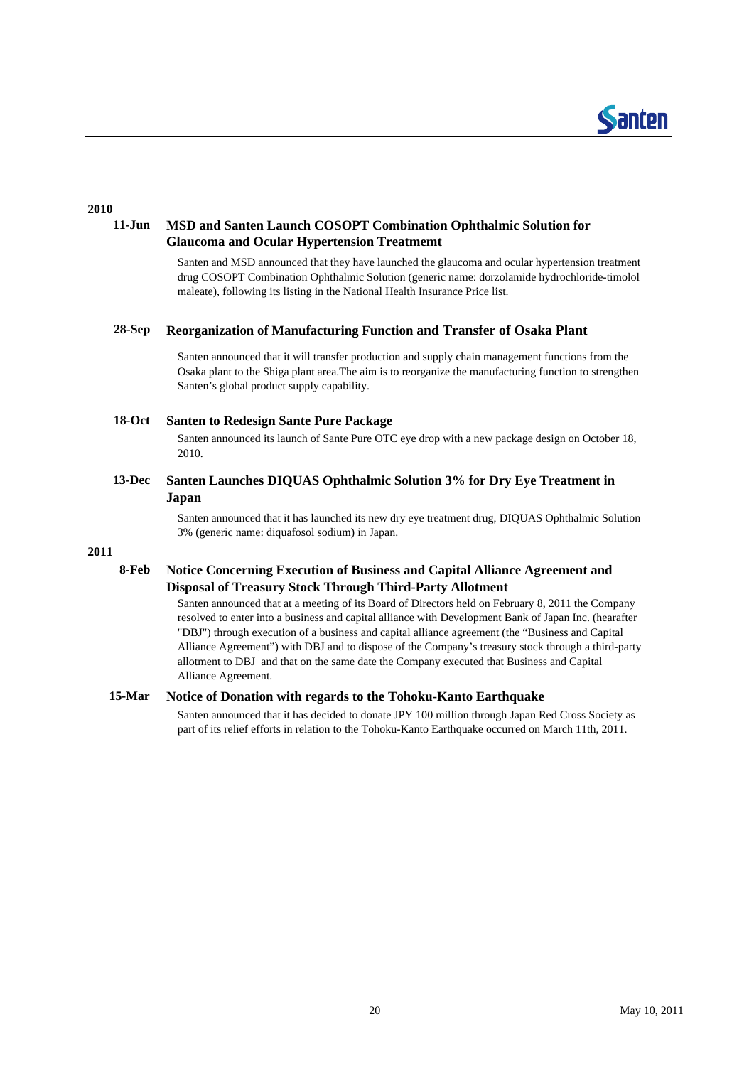

### **2010**

#### **11-Jun MSD and Santen Launch COSOPT Combination Ophthalmic Solution for Glaucoma and Ocular Hypertension Treatmemt**

Santen and MSD announced that they have launched the glaucoma and ocular hypertension treatment drug COSOPT Combination Ophthalmic Solution (generic name: dorzolamide hydrochloride-timolol maleate), following its listing in the National Health Insurance Price list.

#### **28-Sep Reorganization of Manufacturing Function and Transfer of Osaka Plant**

Santen announced that it will transfer production and supply chain management functions from the Osaka plant to the Shiga plant area.The aim is to reorganize the manufacturing function to strengthen Santen's global product supply capability.

#### **18-Oct Santen to Redesign Sante Pure Package**

Santen announced its launch of Sante Pure OTC eve drop with a new package design on October 18, 2010.

### **13-Dec Santen Launches DIQUAS Ophthalmic Solution 3% for Dry Eye Treatment in Japan**

Santen announced that it has launched its new dry eye treatment drug, DIQUAS Ophthalmic Solution 3% (generic name: diquafosol sodium) in Japan.

### **2011**

#### **8-Feb Notice Concerning Execution of Business and Capital Alliance Agreement and Disposal of Treasury Stock Through Third-Party Allotment**

Santen announced that at a meeting of its Board of Directors held on February 8, 2011 the Company resolved to enter into a business and capital alliance with Development Bank of Japan Inc. (hearafter "DBJ") through execution of a business and capital alliance agreement (the "Business and Capital Alliance Agreement") with DBJ and to dispose of the Company's treasury stock through a third-party allotment to DBJ and that on the same date the Company executed that Business and Capital Alliance Agreement.

#### **15-Mar Notice of Donation with regards to the Tohoku-Kanto Earthquake**

Santen announced that it has decided to donate JPY 100 million through Japan Red Cross Society as part of its relief efforts in relation to the Tohoku-Kanto Earthquake occurred on March 11th, 2011.